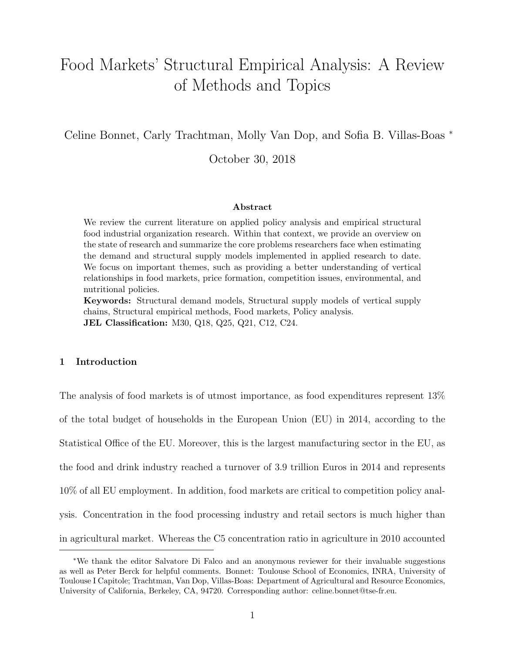# Food Markets' Structural Empirical Analysis: A Review of Methods and Topics

Celine Bonnet, Carly Trachtman, Molly Van Dop, and Sofia B. Villas-Boas <sup>∗</sup>

October 30, 2018

#### Abstract

We review the current literature on applied policy analysis and empirical structural food industrial organization research. Within that context, we provide an overview on the state of research and summarize the core problems researchers face when estimating the demand and structural supply models implemented in applied research to date. We focus on important themes, such as providing a better understanding of vertical relationships in food markets, price formation, competition issues, environmental, and nutritional policies.

Keywords: Structural demand models, Structural supply models of vertical supply chains, Structural empirical methods, Food markets, Policy analysis. JEL Classification: M30, Q18, Q25, Q21, C12, C24.

# 1 Introduction

The analysis of food markets is of utmost importance, as food expenditures represent 13% of the total budget of households in the European Union (EU) in 2014, according to the Statistical Office of the EU. Moreover, this is the largest manufacturing sector in the EU, as the food and drink industry reached a turnover of 3.9 trillion Euros in 2014 and represents 10% of all EU employment. In addition, food markets are critical to competition policy analysis. Concentration in the food processing industry and retail sectors is much higher than in agricultural market. Whereas the C5 concentration ratio in agriculture in 2010 accounted

<sup>∗</sup>We thank the editor Salvatore Di Falco and an anonymous reviewer for their invaluable suggestions as well as Peter Berck for helpful comments. Bonnet: Toulouse School of Economics, INRA, University of Toulouse I Capitole; Trachtman, Van Dop, Villas-Boas: Department of Agricultural and Resource Economics, University of California, Berkeley, CA, 94720. Corresponding author: celine.bonnet@tse-fr.eu.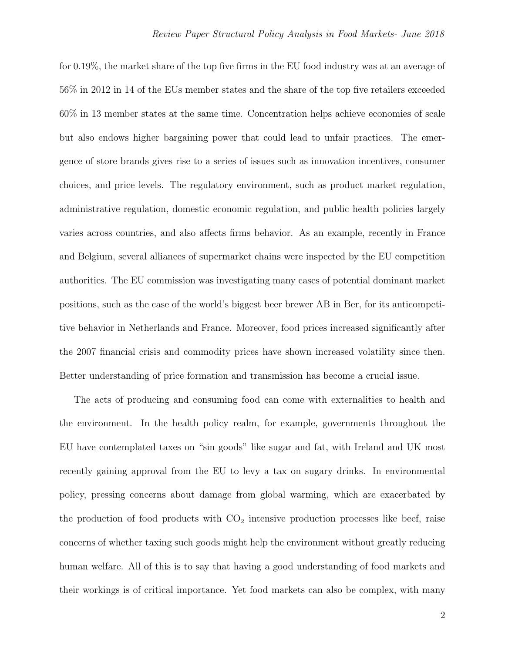for 0.19%, the market share of the top five firms in the EU food industry was at an average of 56% in 2012 in 14 of the EUs member states and the share of the top five retailers exceeded 60% in 13 member states at the same time. Concentration helps achieve economies of scale but also endows higher bargaining power that could lead to unfair practices. The emergence of store brands gives rise to a series of issues such as innovation incentives, consumer choices, and price levels. The regulatory environment, such as product market regulation, administrative regulation, domestic economic regulation, and public health policies largely varies across countries, and also affects firms behavior. As an example, recently in France and Belgium, several alliances of supermarket chains were inspected by the EU competition authorities. The EU commission was investigating many cases of potential dominant market positions, such as the case of the world's biggest beer brewer AB in Ber, for its anticompetitive behavior in Netherlands and France. Moreover, food prices increased significantly after the 2007 financial crisis and commodity prices have shown increased volatility since then. Better understanding of price formation and transmission has become a crucial issue.

The acts of producing and consuming food can come with externalities to health and the environment. In the health policy realm, for example, governments throughout the EU have contemplated taxes on "sin goods" like sugar and fat, with Ireland and UK most recently gaining approval from the EU to levy a tax on sugary drinks. In environmental policy, pressing concerns about damage from global warming, which are exacerbated by the production of food products with  $CO<sub>2</sub>$  intensive production processes like beef, raise concerns of whether taxing such goods might help the environment without greatly reducing human welfare. All of this is to say that having a good understanding of food markets and their workings is of critical importance. Yet food markets can also be complex, with many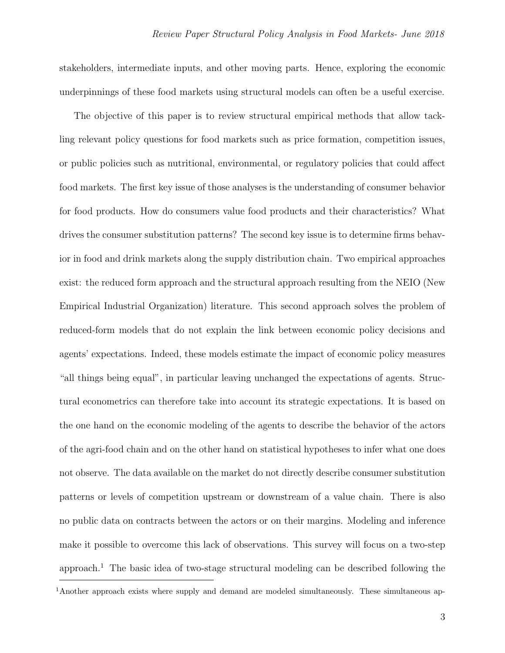stakeholders, intermediate inputs, and other moving parts. Hence, exploring the economic underpinnings of these food markets using structural models can often be a useful exercise.

The objective of this paper is to review structural empirical methods that allow tackling relevant policy questions for food markets such as price formation, competition issues, or public policies such as nutritional, environmental, or regulatory policies that could affect food markets. The first key issue of those analyses is the understanding of consumer behavior for food products. How do consumers value food products and their characteristics? What drives the consumer substitution patterns? The second key issue is to determine firms behavior in food and drink markets along the supply distribution chain. Two empirical approaches exist: the reduced form approach and the structural approach resulting from the NEIO (New Empirical Industrial Organization) literature. This second approach solves the problem of reduced-form models that do not explain the link between economic policy decisions and agents' expectations. Indeed, these models estimate the impact of economic policy measures "all things being equal", in particular leaving unchanged the expectations of agents. Structural econometrics can therefore take into account its strategic expectations. It is based on the one hand on the economic modeling of the agents to describe the behavior of the actors of the agri-food chain and on the other hand on statistical hypotheses to infer what one does not observe. The data available on the market do not directly describe consumer substitution patterns or levels of competition upstream or downstream of a value chain. There is also no public data on contracts between the actors or on their margins. Modeling and inference make it possible to overcome this lack of observations. This survey will focus on a two-step approach.<sup>[1](#page-2-0)</sup> The basic idea of two-stage structural modeling can be described following the

<span id="page-2-0"></span><sup>&</sup>lt;sup>1</sup>Another approach exists where supply and demand are modeled simultaneously. These simultaneous ap-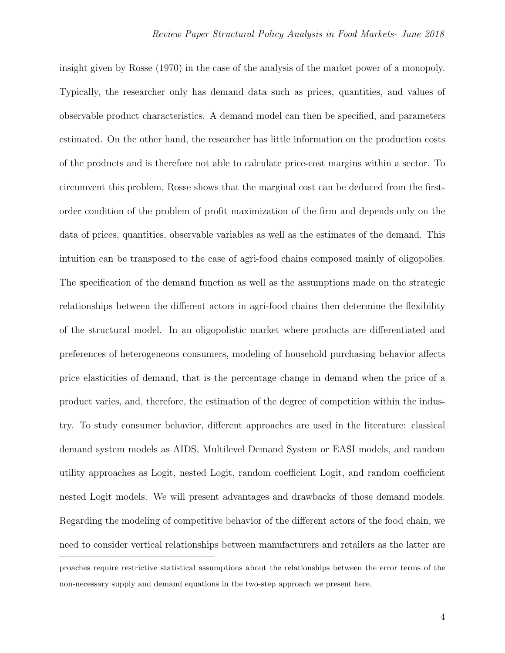insight given by Rosse (1970) in the case of the analysis of the market power of a monopoly. Typically, the researcher only has demand data such as prices, quantities, and values of observable product characteristics. A demand model can then be specified, and parameters estimated. On the other hand, the researcher has little information on the production costs of the products and is therefore not able to calculate price-cost margins within a sector. To circumvent this problem, Rosse shows that the marginal cost can be deduced from the firstorder condition of the problem of profit maximization of the firm and depends only on the data of prices, quantities, observable variables as well as the estimates of the demand. This intuition can be transposed to the case of agri-food chains composed mainly of oligopolies. The specification of the demand function as well as the assumptions made on the strategic relationships between the different actors in agri-food chains then determine the flexibility of the structural model. In an oligopolistic market where products are differentiated and preferences of heterogeneous consumers, modeling of household purchasing behavior affects price elasticities of demand, that is the percentage change in demand when the price of a product varies, and, therefore, the estimation of the degree of competition within the industry. To study consumer behavior, different approaches are used in the literature: classical demand system models as AIDS, Multilevel Demand System or EASI models, and random utility approaches as Logit, nested Logit, random coefficient Logit, and random coefficient nested Logit models. We will present advantages and drawbacks of those demand models. Regarding the modeling of competitive behavior of the different actors of the food chain, we need to consider vertical relationships between manufacturers and retailers as the latter are proaches require restrictive statistical assumptions about the relationships between the error terms of the non-necessary supply and demand equations in the two-step approach we present here.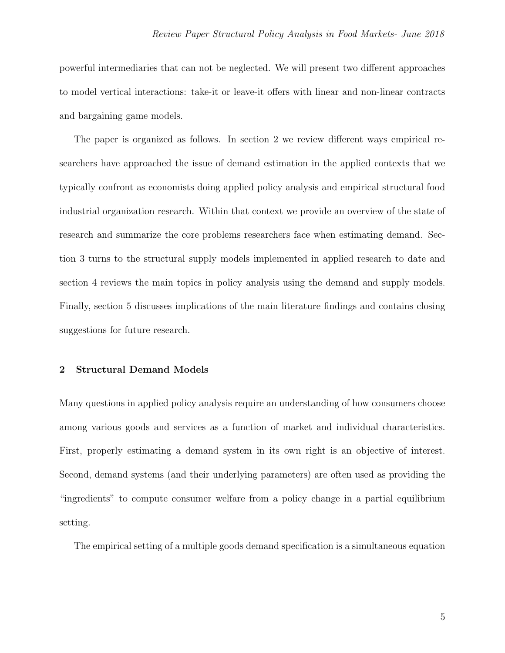powerful intermediaries that can not be neglected. We will present two different approaches to model vertical interactions: take-it or leave-it offers with linear and non-linear contracts and bargaining game models.

The paper is organized as follows. In section 2 we review different ways empirical researchers have approached the issue of demand estimation in the applied contexts that we typically confront as economists doing applied policy analysis and empirical structural food industrial organization research. Within that context we provide an overview of the state of research and summarize the core problems researchers face when estimating demand. Section 3 turns to the structural supply models implemented in applied research to date and section 4 reviews the main topics in policy analysis using the demand and supply models. Finally, section 5 discusses implications of the main literature findings and contains closing suggestions for future research.

# 2 Structural Demand Models

Many questions in applied policy analysis require an understanding of how consumers choose among various goods and services as a function of market and individual characteristics. First, properly estimating a demand system in its own right is an objective of interest. Second, demand systems (and their underlying parameters) are often used as providing the "ingredients" to compute consumer welfare from a policy change in a partial equilibrium setting.

The empirical setting of a multiple goods demand specification is a simultaneous equation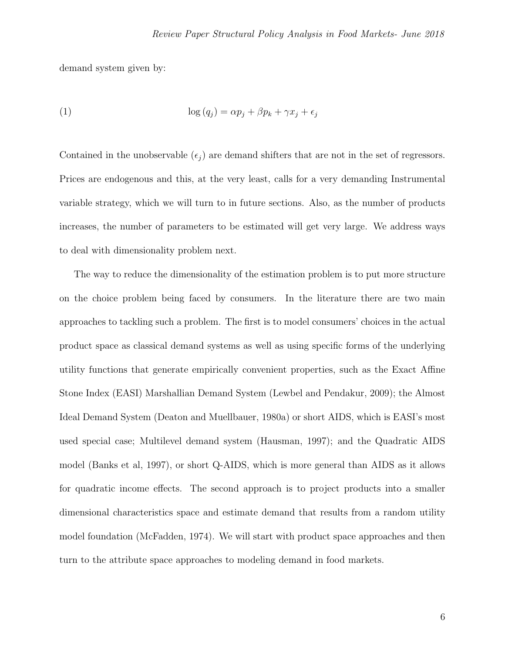demand system given by:

(1) 
$$
\log (q_j) = \alpha p_j + \beta p_k + \gamma x_j + \epsilon_j
$$

Contained in the unobservable  $(\epsilon_i)$  are demand shifters that are not in the set of regressors. Prices are endogenous and this, at the very least, calls for a very demanding Instrumental variable strategy, which we will turn to in future sections. Also, as the number of products increases, the number of parameters to be estimated will get very large. We address ways to deal with dimensionality problem next.

The way to reduce the dimensionality of the estimation problem is to put more structure on the choice problem being faced by consumers. In the literature there are two main approaches to tackling such a problem. The first is to model consumers' choices in the actual product space as classical demand systems as well as using specific forms of the underlying utility functions that generate empirically convenient properties, such as the Exact Affine Stone Index (EASI) Marshallian Demand System (Lewbel and Pendakur, 2009); the Almost Ideal Demand System (Deaton and Muellbauer, 1980a) or short AIDS, which is EASI's most used special case; Multilevel demand system (Hausman, 1997); and the Quadratic AIDS model (Banks et al, 1997), or short Q-AIDS, which is more general than AIDS as it allows for quadratic income effects. The second approach is to project products into a smaller dimensional characteristics space and estimate demand that results from a random utility model foundation (McFadden, 1974). We will start with product space approaches and then turn to the attribute space approaches to modeling demand in food markets.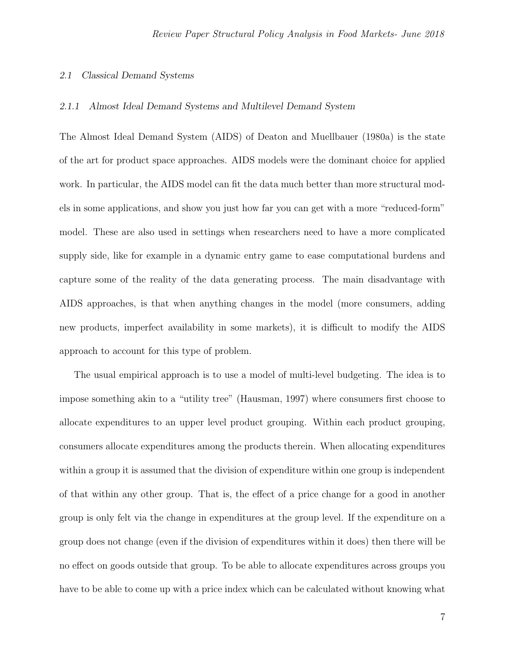#### 2.1 Classical Demand Systems

#### 2.1.1 Almost Ideal Demand Systems and Multilevel Demand System

The Almost Ideal Demand System (AIDS) of Deaton and Muellbauer (1980a) is the state of the art for product space approaches. AIDS models were the dominant choice for applied work. In particular, the AIDS model can fit the data much better than more structural models in some applications, and show you just how far you can get with a more "reduced-form" model. These are also used in settings when researchers need to have a more complicated supply side, like for example in a dynamic entry game to ease computational burdens and capture some of the reality of the data generating process. The main disadvantage with AIDS approaches, is that when anything changes in the model (more consumers, adding new products, imperfect availability in some markets), it is difficult to modify the AIDS approach to account for this type of problem.

The usual empirical approach is to use a model of multi-level budgeting. The idea is to impose something akin to a "utility tree" (Hausman, 1997) where consumers first choose to allocate expenditures to an upper level product grouping. Within each product grouping, consumers allocate expenditures among the products therein. When allocating expenditures within a group it is assumed that the division of expenditure within one group is independent of that within any other group. That is, the effect of a price change for a good in another group is only felt via the change in expenditures at the group level. If the expenditure on a group does not change (even if the division of expenditures within it does) then there will be no effect on goods outside that group. To be able to allocate expenditures across groups you have to be able to come up with a price index which can be calculated without knowing what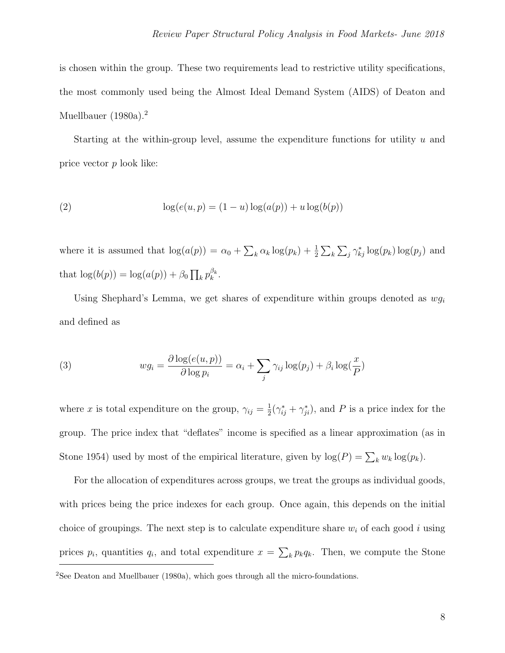is chosen within the group. These two requirements lead to restrictive utility specifications, the most commonly used being the Almost Ideal Demand System (AIDS) of Deaton and Muellbauer (1980a).<sup>[2](#page-7-0)</sup>

Starting at the within-group level, assume the expenditure functions for utility  $u$  and price vector p look like:

(2) 
$$
\log(e(u, p) = (1 - u) \log(a(p)) + u \log(b(p))
$$

where it is assumed that  $\log(a(p)) = \alpha_0 + \sum_k \alpha_k \log(p_k) + \frac{1}{2} \sum_k \sum_j \gamma_{kj}^* \log(p_k) \log(p_j)$  and that  $\log(b(p)) = \log(a(p)) + \beta_0 \prod_k p_k^{\beta_k}$  $_{k}^{\beta_k}.$ 

Using Shephard's Lemma, we get shares of expenditure within groups denoted as  $wg_i$ and defined as

(3) 
$$
wg_i = \frac{\partial \log(e(u, p))}{\partial \log p_i} = \alpha_i + \sum_j \gamma_{ij} \log(p_j) + \beta_i \log(\frac{x}{P})
$$

where x is total expenditure on the group,  $\gamma_{ij} = \frac{1}{2}$  $\frac{1}{2}(\gamma_{ij}^* + \gamma_{ji}^*),$  and P is a price index for the group. The price index that "deflates" income is specified as a linear approximation (as in Stone 1954) used by most of the empirical literature, given by  $log(P) = \sum_{k} w_k log(p_k)$ .

For the allocation of expenditures across groups, we treat the groups as individual goods, with prices being the price indexes for each group. Once again, this depends on the initial choice of groupings. The next step is to calculate expenditure share  $w_i$  of each good i using prices  $p_i$ , quantities  $q_i$ , and total expenditure  $x = \sum_k p_k q_k$ . Then, we compute the Stone

<span id="page-7-0"></span><sup>&</sup>lt;sup>2</sup>See Deaton and Muellbauer (1980a), which goes through all the micro-foundations.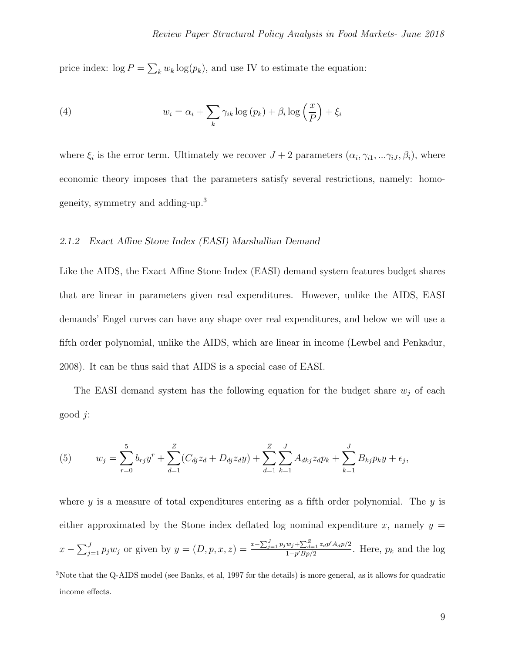price index:  $\log P = \sum_k w_k \log(p_k)$ , and use IV to estimate the equation:

(4) 
$$
w_i = \alpha_i + \sum_k \gamma_{ik} \log (p_k) + \beta_i \log \left(\frac{x}{P}\right) + \xi_i
$$

where  $\xi_i$  is the error term. Ultimately we recover  $J+2$  parameters  $(\alpha_i, \gamma_{i1}, \ldots, \gamma_{iJ}, \beta_i)$ , where economic theory imposes that the parameters satisfy several restrictions, namely: homogeneity, symmetry and adding-up.[3](#page-8-0)

#### 2.1.2 Exact Affine Stone Index (EASI) Marshallian Demand

Like the AIDS, the Exact Affine Stone Index (EASI) demand system features budget shares that are linear in parameters given real expenditures. However, unlike the AIDS, EASI demands' Engel curves can have any shape over real expenditures, and below we will use a fifth order polynomial, unlike the AIDS, which are linear in income (Lewbel and Penkadur, 2008). It can be thus said that AIDS is a special case of EASI.

The EASI demand system has the following equation for the budget share  $w_j$  of each good j:

(5) 
$$
w_j = \sum_{r=0}^5 b_{rj} y^r + \sum_{d=1}^Z (C_{dj} z_d + D_{dj} z_d y) + \sum_{d=1}^Z \sum_{k=1}^J A_{dkj} z_d p_k + \sum_{k=1}^J B_{kj} p_k y + \epsilon_j,
$$

where  $y$  is a measure of total expenditures entering as a fifth order polynomial. The  $y$  is either approximated by the Stone index deflated log nominal expenditure x, namely  $y =$  $x - \sum_{j=1}^{J} p_j w_j$  or given by  $y = (D, p, x, z) = \frac{x - \sum_{j=1}^{J} p_j w_j + \sum_{d=1}^{Z} z_d p' A_d p/2}{1 - p' B_p/2}$  $\frac{\omega_j + \sum_{d=1}^{\infty} \lambda_d p A_d p}{1-p' B_p/2}$ . Here,  $p_k$  and the log

<span id="page-8-0"></span><sup>3</sup>Note that the Q-AIDS model (see Banks, et al, 1997 for the details) is more general, as it allows for quadratic income effects.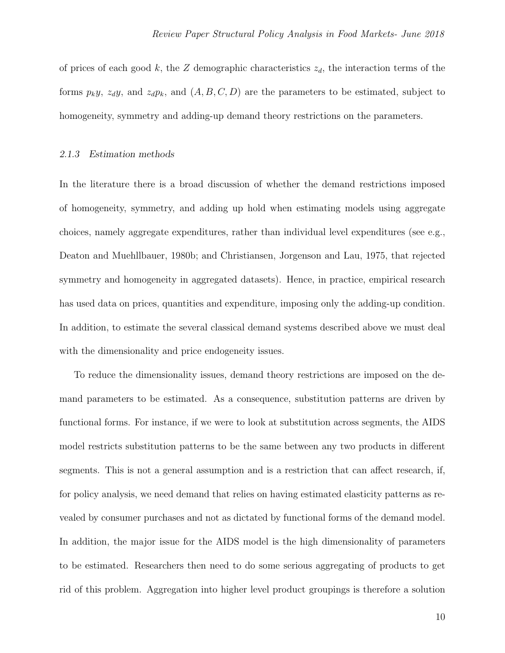of prices of each good k, the Z demographic characteristics  $z_d$ , the interaction terms of the forms  $p_k y$ ,  $z_d y$ , and  $z_d p_k$ , and  $(A, B, C, D)$  are the parameters to be estimated, subject to homogeneity, symmetry and adding-up demand theory restrictions on the parameters.

## 2.1.3 Estimation methods

In the literature there is a broad discussion of whether the demand restrictions imposed of homogeneity, symmetry, and adding up hold when estimating models using aggregate choices, namely aggregate expenditures, rather than individual level expenditures (see e.g., Deaton and Muehllbauer, 1980b; and Christiansen, Jorgenson and Lau, 1975, that rejected symmetry and homogeneity in aggregated datasets). Hence, in practice, empirical research has used data on prices, quantities and expenditure, imposing only the adding-up condition. In addition, to estimate the several classical demand systems described above we must deal with the dimensionality and price endogeneity issues.

To reduce the dimensionality issues, demand theory restrictions are imposed on the demand parameters to be estimated. As a consequence, substitution patterns are driven by functional forms. For instance, if we were to look at substitution across segments, the AIDS model restricts substitution patterns to be the same between any two products in different segments. This is not a general assumption and is a restriction that can affect research, if, for policy analysis, we need demand that relies on having estimated elasticity patterns as revealed by consumer purchases and not as dictated by functional forms of the demand model. In addition, the major issue for the AIDS model is the high dimensionality of parameters to be estimated. Researchers then need to do some serious aggregating of products to get rid of this problem. Aggregation into higher level product groupings is therefore a solution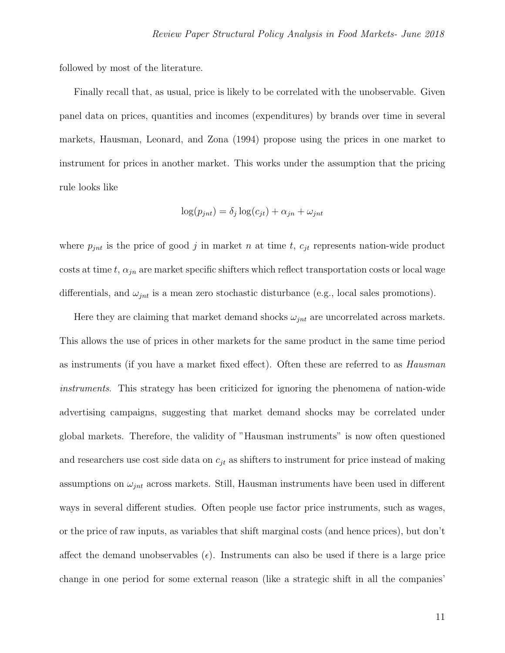followed by most of the literature.

Finally recall that, as usual, price is likely to be correlated with the unobservable. Given panel data on prices, quantities and incomes (expenditures) by brands over time in several markets, Hausman, Leonard, and Zona (1994) propose using the prices in one market to instrument for prices in another market. This works under the assumption that the pricing rule looks like

$$
\log(p_{jnt}) = \delta_j \log(c_{jt}) + \alpha_{jn} + \omega_{jnt}
$$

where  $p_{jnt}$  is the price of good j in market n at time t,  $c_{jt}$  represents nation-wide product costs at time t,  $\alpha_{jn}$  are market specific shifters which reflect transportation costs or local wage differentials, and  $\omega_{jnt}$  is a mean zero stochastic disturbance (e.g., local sales promotions).

Here they are claiming that market demand shocks  $\omega_{int}$  are uncorrelated across markets. This allows the use of prices in other markets for the same product in the same time period as instruments (if you have a market fixed effect). Often these are referred to as Hausman instruments. This strategy has been criticized for ignoring the phenomena of nation-wide advertising campaigns, suggesting that market demand shocks may be correlated under global markets. Therefore, the validity of "Hausman instruments" is now often questioned and researchers use cost side data on  $c_{jt}$  as shifters to instrument for price instead of making assumptions on  $\omega_{jnt}$  across markets. Still, Hausman instruments have been used in different ways in several different studies. Often people use factor price instruments, such as wages, or the price of raw inputs, as variables that shift marginal costs (and hence prices), but don't affect the demand unobservables  $(\epsilon)$ . Instruments can also be used if there is a large price change in one period for some external reason (like a strategic shift in all the companies'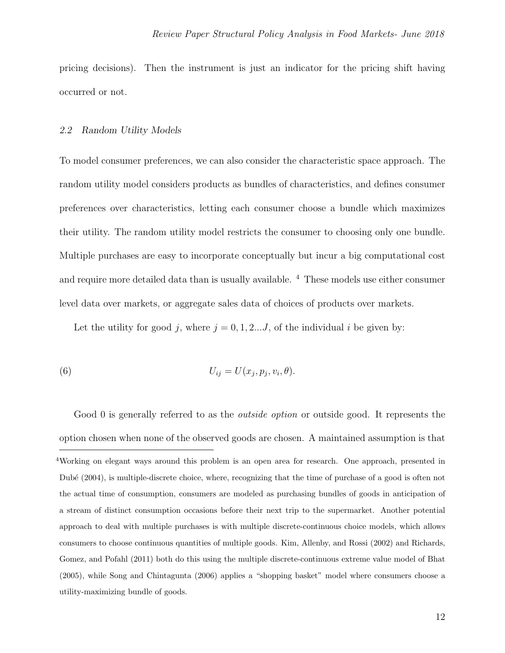pricing decisions). Then the instrument is just an indicator for the pricing shift having occurred or not.

#### 2.2 Random Utility Models

To model consumer preferences, we can also consider the characteristic space approach. The random utility model considers products as bundles of characteristics, and defines consumer preferences over characteristics, letting each consumer choose a bundle which maximizes their utility. The random utility model restricts the consumer to choosing only one bundle. Multiple purchases are easy to incorporate conceptually but incur a big computational cost and require more detailed data than is usually available. [4](#page-11-0) These models use either consumer level data over markets, or aggregate sales data of choices of products over markets.

Let the utility for good j, where  $j = 0, 1, 2...J$ , of the individual i be given by:

(6) 
$$
U_{ij} = U(x_j, p_j, v_i, \theta).
$$

<span id="page-11-0"></span>Good 0 is generally referred to as the *outside option* or outside good. It represents the option chosen when none of the observed goods are chosen. A maintained assumption is that <sup>4</sup>Working on elegant ways around this problem is an open area for research. One approach, presented in Dubé (2004), is multiple-discrete choice, where, recognizing that the time of purchase of a good is often not the actual time of consumption, consumers are modeled as purchasing bundles of goods in anticipation of a stream of distinct consumption occasions before their next trip to the supermarket. Another potential approach to deal with multiple purchases is with multiple discrete-continuous choice models, which allows consumers to choose continuous quantities of multiple goods. Kim, Allenby, and Rossi (2002) and Richards, Gomez, and Pofahl (2011) both do this using the multiple discrete-continuous extreme value model of Bhat (2005), while Song and Chintagunta (2006) applies a "shopping basket" model where consumers choose a utility-maximizing bundle of goods.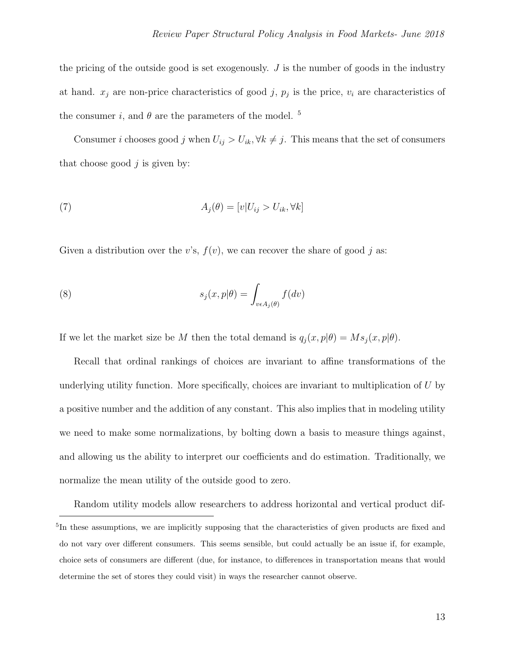the pricing of the outside good is set exogenously.  $J$  is the number of goods in the industry at hand.  $x_j$  are non-price characteristics of good j,  $p_j$  is the price,  $v_i$  are characteristics of the consumer i, and  $\theta$  are the parameters of the model.<sup>[5](#page-12-0)</sup>

Consumer *i* chooses good j when  $U_{ij} > U_{ik}$ ,  $\forall k \neq j$ . This means that the set of consumers that choose good  $j$  is given by:

(7) 
$$
A_j(\theta) = [v|U_{ij} > U_{ik}, \forall k]
$$

Given a distribution over the v's,  $f(v)$ , we can recover the share of good j as:

(8) 
$$
s_j(x, p|\theta) = \int_{v \in A_j(\theta)} f(dv)
$$

If we let the market size be M then the total demand is  $q_j(x, p|\theta) = Ms_j(x, p|\theta)$ .

Recall that ordinal rankings of choices are invariant to affine transformations of the underlying utility function. More specifically, choices are invariant to multiplication of  $U$  by a positive number and the addition of any constant. This also implies that in modeling utility we need to make some normalizations, by bolting down a basis to measure things against, and allowing us the ability to interpret our coefficients and do estimation. Traditionally, we normalize the mean utility of the outside good to zero.

<span id="page-12-0"></span>Random utility models allow researchers to address horizontal and vertical product dif-<sup>5</sup>In these assumptions, we are implicitly supposing that the characteristics of given products are fixed and do not vary over different consumers. This seems sensible, but could actually be an issue if, for example, choice sets of consumers are different (due, for instance, to differences in transportation means that would determine the set of stores they could visit) in ways the researcher cannot observe.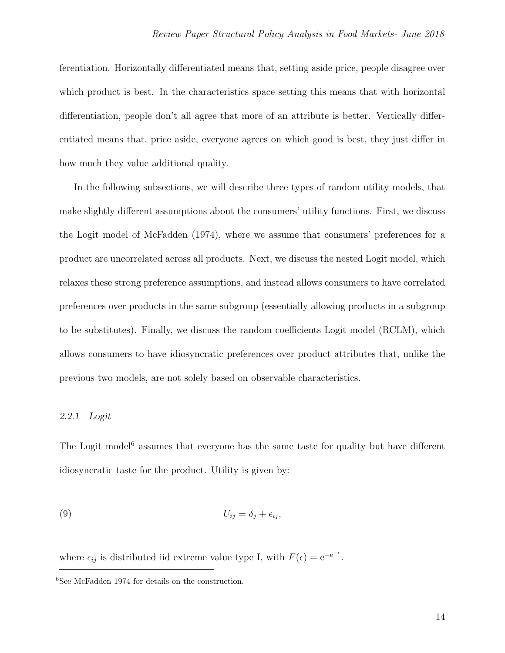ferentiation. Horizontally differentiated means that, setting aside price, people disagree over which product is best. In the characteristics space setting this means that with horizontal differentiation, people don't all agree that more of an attribute is better. Vertically differentiated means that, price aside, everyone agrees on which good is best, they just differ in how much they value additional quality.

In the following subsections, we will describe three types of random utility models, that make slightly different assumptions about the consumers' utility functions. First, we discuss the Logit model of McFadden (1974), where we assume that consumers' preferences for a product are uncorrelated across all products. Next, we discuss the nested Logit model, which relaxes these strong preference assumptions, and instead allows consumers to have correlated preferences over products in the same subgroup (essentially allowing products in a subgroup to be substitutes). Finally, we discuss the random coefficients Logit model (RCLM), which allows consumers to have idiosyncratic preferences over product attributes that, unlike the previous two models, are not solely based on observable characteristics.

#### 2.2.1 Logit

The Logit model<sup> $6$ </sup> assumes that everyone has the same taste for quality but have different idiosyncratic taste for the product. Utility is given by:

$$
(9) \t\t\t U_{ij} = \delta_j + \epsilon_{ij},
$$

where  $\epsilon_{ij}$  is distributed iid extreme value type I, with  $F(\epsilon) = e^{-e^{-\epsilon}}$ .

<span id="page-13-0"></span><sup>6</sup>See McFadden 1974 for details on the construction.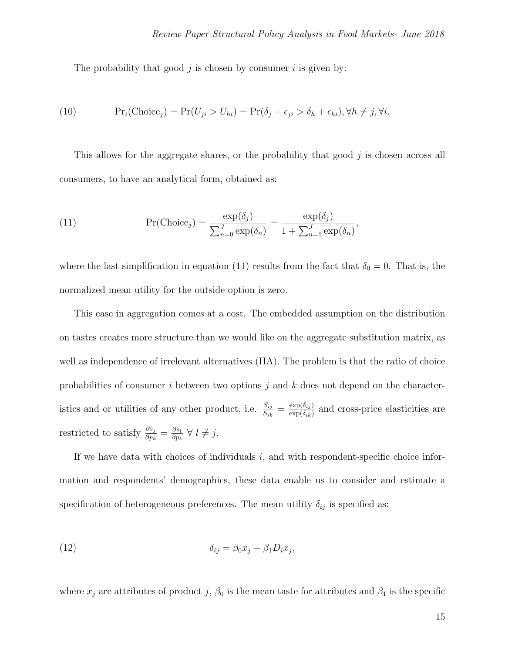The probability that good  $j$  is chosen by consumer  $i$  is given by:

(10) 
$$
\Pr_i(\text{Choice}_j) = \Pr(U_{ji} > U_{hi}) = \Pr(\delta_j + \epsilon_{ji} > \delta_h + \epsilon_{hi}), \forall h \neq j, \forall i.
$$

This allows for the aggregate shares, or the probability that good  $j$  is chosen across all consumers, to have an analytical form, obtained as:

<span id="page-14-0"></span>(11) 
$$
\Pr(\text{Choice}_j) = \frac{\exp(\delta_j)}{\sum_{n=0}^J \exp(\delta_n)} = \frac{\exp(\delta_j)}{1 + \sum_{n=1}^J \exp(\delta_n)},
$$

where the last simplification in equation [\(11\)](#page-14-0) results from the fact that  $\delta_0 = 0$ . That is, the normalized mean utility for the outside option is zero.

This ease in aggregation comes at a cost. The embedded assumption on the distribution on tastes creates more structure than we would like on the aggregate substitution matrix, as well as independence of irrelevant alternatives (IIA). The problem is that the ratio of choice probabilities of consumer i between two options j and k does not depend on the characteristics and or utilities of any other product, i.e.  $\frac{S_{ij}}{S_{ik}} = \frac{\exp(\delta_{ij})}{\exp(\delta_{ik})}$  $\frac{\exp(o_{ij})}{\exp(\delta_{ik})}$  and cross-price elasticities are restricted to satisfy  $\frac{\partial s_j}{\partial p_k} = \frac{\partial s_l}{\partial p_k}$  $\frac{\partial s_l}{\partial p_k} \ \forall \ l \neq j.$ 

If we have data with choices of individuals  $i$ , and with respondent-specific choice information and respondents' demographics, these data enable us to consider and estimate a specification of heterogeneous preferences. The mean utility  $\delta_{ij}$  is specified as:

$$
\delta_{ij} = \beta_0 x_j + \beta_1 D_i x_j,
$$

where  $x_j$  are attributes of product j,  $\beta_0$  is the mean taste for attributes and  $\beta_1$  is the specific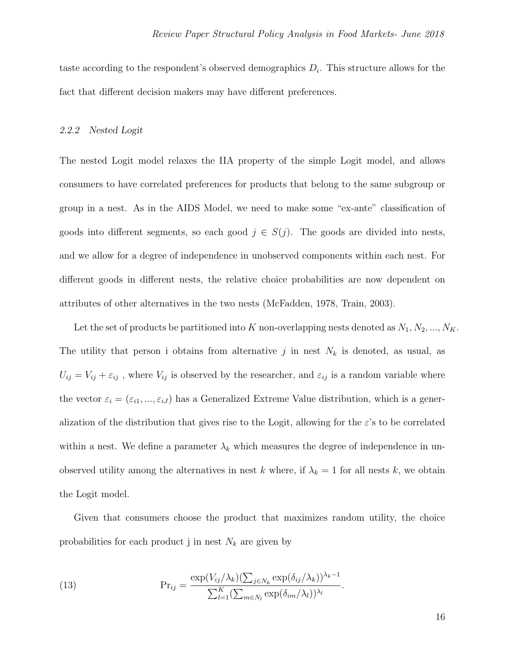taste according to the respondent's observed demographics  $D_i$ . This structure allows for the fact that different decision makers may have different preferences.

#### 2.2.2 Nested Logit

The nested Logit model relaxes the IIA property of the simple Logit model, and allows consumers to have correlated preferences for products that belong to the same subgroup or group in a nest. As in the AIDS Model, we need to make some "ex-ante" classification of goods into different segments, so each good  $j \in S(j)$ . The goods are divided into nests, and we allow for a degree of independence in unobserved components within each nest. For different goods in different nests, the relative choice probabilities are now dependent on attributes of other alternatives in the two nests (McFadden, 1978, Train, 2003).

Let the set of products be partitioned into K non-overlapping nests denoted as  $N_1, N_2, ..., N_K$ . The utility that person i obtains from alternative j in nest  $N_k$  is denoted, as usual, as  $U_{ij} = V_{ij} + \varepsilon_{ij}$ , where  $V_{ij}$  is observed by the researcher, and  $\varepsilon_{ij}$  is a random variable where the vector  $\varepsilon_i = (\varepsilon_{i1}, ..., \varepsilon_{iJ})$  has a Generalized Extreme Value distribution, which is a generalization of the distribution that gives rise to the Logit, allowing for the  $\varepsilon$ 's to be correlated within a nest. We define a parameter  $\lambda_k$  which measures the degree of independence in unobserved utility among the alternatives in nest k where, if  $\lambda_k = 1$  for all nests k, we obtain the Logit model.

Given that consumers choose the product that maximizes random utility, the choice probabilities for each product j in nest  $N_k$  are given by

(13) 
$$
\Pr_{ij} = \frac{\exp(V_{ij}/\lambda_k)(\sum_{j \in N_k} \exp(\delta_{ij}/\lambda_k))^{\lambda_k - 1}}{\sum_{l=1}^K (\sum_{m \in N_l} \exp(\delta_{im}/\lambda_l))^{\lambda_l}}.
$$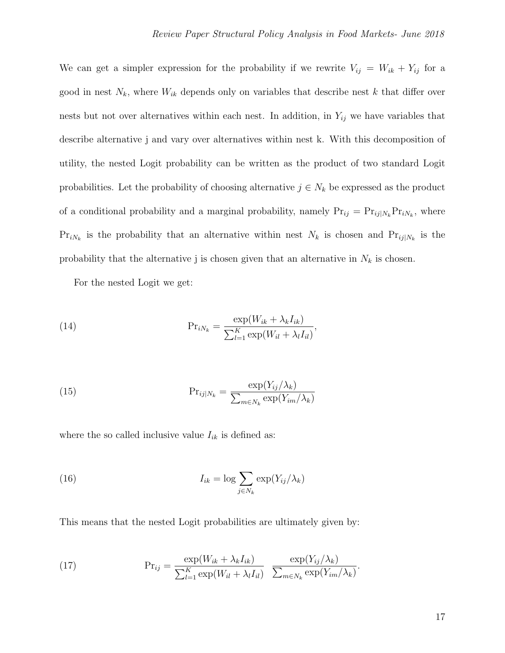We can get a simpler expression for the probability if we rewrite  $V_{ij} = W_{ik} + Y_{ij}$  for a good in nest  $N_k$ , where  $W_{ik}$  depends only on variables that describe nest k that differ over nests but not over alternatives within each nest. In addition, in  $Y_{ij}$  we have variables that describe alternative j and vary over alternatives within nest k. With this decomposition of utility, the nested Logit probability can be written as the product of two standard Logit probabilities. Let the probability of choosing alternative  $j \in N_k$  be expressed as the product of a conditional probability and a marginal probability, namely  $Pr_{ij} = Pr_{ij|N_k} Pr_{iN_k}$ , where  $Pr_{iN_k}$  is the probability that an alternative within nest  $N_k$  is chosen and  $Pr_{ij|N_k}$  is the probability that the alternative j is chosen given that an alternative in  $N_k$  is chosen.

For the nested Logit we get:

(14) 
$$
\Pr_{iN_k} = \frac{\exp(W_{ik} + \lambda_k I_{ik})}{\sum_{l=1}^K \exp(W_{il} + \lambda_l I_{il})},
$$

(15) 
$$
\Pr_{ij|N_k} = \frac{\exp(Y_{ij}/\lambda_k)}{\sum_{m \in N_k} \exp(Y_{im}/\lambda_k)}
$$

where the so called inclusive value  $I_{ik}$  is defined as:

(16) 
$$
I_{ik} = \log \sum_{j \in N_k} \exp(Y_{ij}/\lambda_k)
$$

This means that the nested Logit probabilities are ultimately given by:

(17) 
$$
\Pr_{ij} = \frac{\exp(W_{ik} + \lambda_k I_{ik})}{\sum_{l=1}^K \exp(W_{il} + \lambda_l I_{il})} \frac{\exp(Y_{ij}/\lambda_k)}{\sum_{m \in N_k} \exp(Y_{im}/\lambda_k)}.
$$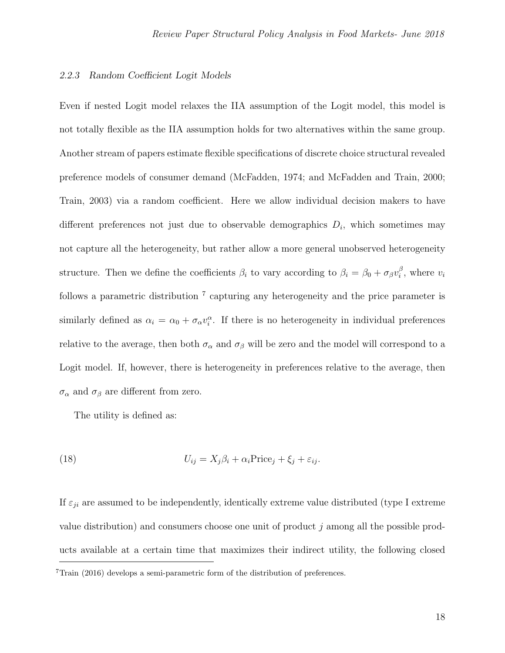#### 2.2.3 Random Coefficient Logit Models

Even if nested Logit model relaxes the IIA assumption of the Logit model, this model is not totally flexible as the IIA assumption holds for two alternatives within the same group. Another stream of papers estimate flexible specifications of discrete choice structural revealed preference models of consumer demand (McFadden, 1974; and McFadden and Train, 2000; Train, 2003) via a random coefficient. Here we allow individual decision makers to have different preferences not just due to observable demographics  $D_i$ , which sometimes may not capture all the heterogeneity, but rather allow a more general unobserved heterogeneity structure. Then we define the coefficients  $\beta_i$  to vary according to  $\beta_i = \beta_0 + \sigma_\beta v_i^\beta$  $i^{\beta}$ , where  $v_i$ follows a parametric distribution<sup>[7](#page-17-0)</sup> capturing any heterogeneity and the price parameter is similarly defined as  $\alpha_i = \alpha_0 + \sigma_\alpha v_i^{\alpha}$ . If there is no heterogeneity in individual preferences relative to the average, then both  $\sigma_{\alpha}$  and  $\sigma_{\beta}$  will be zero and the model will correspond to a Logit model. If, however, there is heterogeneity in preferences relative to the average, then  $\sigma_{\alpha}$  and  $\sigma_{\beta}$  are different from zero.

The utility is defined as:

(18) 
$$
U_{ij} = X_j \beta_i + \alpha_i \text{Price}_j + \xi_j + \varepsilon_{ij}.
$$

<span id="page-17-0"></span>If  $\varepsilon_{ji}$  are assumed to be independently, identically extreme value distributed (type I extreme value distribution) and consumers choose one unit of product j among all the possible products available at a certain time that maximizes their indirect utility, the following closed  $7$ Train (2016) develops a semi-parametric form of the distribution of preferences.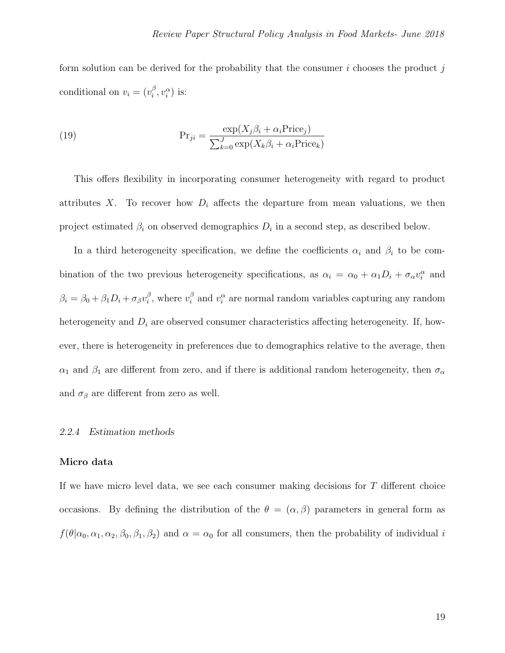form solution can be derived for the probability that the consumer  $i$  chooses the product  $i$ conditional on  $v_i = (v_i^{\beta})$  $i^{\beta}, v_i^{\alpha}$ ) is:

(19) 
$$
Pr_{ji} = \frac{\exp(X_j \beta_i + \alpha_i Price_j)}{\sum_{k=0}^{J} \exp(X_k \beta_i + \alpha_i Price_k)}
$$

This offers flexibility in incorporating consumer heterogeneity with regard to product attributes X. To recover how  $D_i$  affects the departure from mean valuations, we then project estimated  $\beta_i$  on observed demographics  $D_i$  in a second step, as described below.

In a third heterogeneity specification, we define the coefficients  $\alpha_i$  and  $\beta_i$  to be combination of the two previous heterogeneity specifications, as  $\alpha_i = \alpha_0 + \alpha_1 D_i + \sigma_\alpha v_i^{\alpha}$  and  $\beta_i = \beta_0 + \beta_1 D_i + \sigma_\beta v_i^\beta$  $i^{\beta}$ , where  $v_i^{\beta}$  $i \atop i$  and  $v_i^{\alpha}$  are normal random variables capturing any random heterogeneity and  $D_i$  are observed consumer characteristics affecting heterogeneity. If, however, there is heterogeneity in preferences due to demographics relative to the average, then  $\alpha_1$  and  $\beta_1$  are different from zero, and if there is additional random heterogeneity, then  $\sigma_\alpha$ and  $\sigma_{\beta}$  are different from zero as well.

# 2.2.4 Estimation methods

# Micro data

If we have micro level data, we see each consumer making decisions for T different choice occasions. By defining the distribution of the  $\theta = (\alpha, \beta)$  parameters in general form as  $f(\theta|\alpha_0,\alpha_1,\alpha_2,\beta_0,\beta_1,\beta_2)$  and  $\alpha=\alpha_0$  for all consumers, then the probability of individual i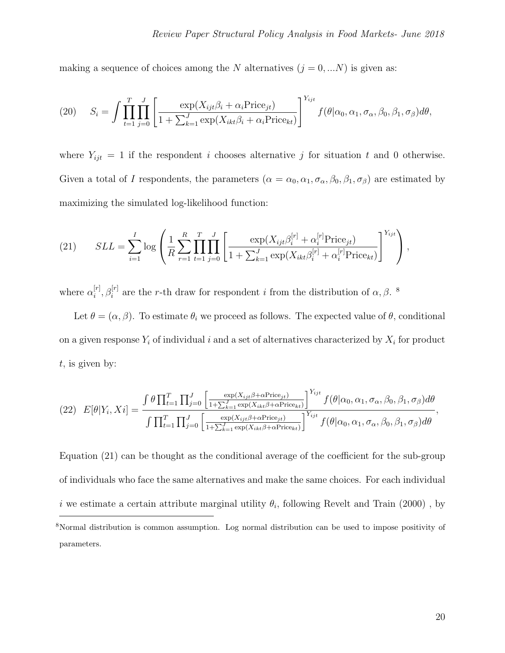making a sequence of choices among the N alternatives  $(j = 0, ...N)$  is given as:

(20) 
$$
S_i = \int \prod_{t=1}^T \prod_{j=0}^J \left[ \frac{\exp(X_{ijt}\beta_i + \alpha_i \text{Price}_{jt})}{1 + \sum_{k=1}^J \exp(X_{ikt}\beta_i + \alpha_i \text{Price}_{kt})} \right]^{Y_{ijt}} f(\theta|\alpha_0, \alpha_1, \sigma_\alpha, \beta_0, \beta_1, \sigma_\beta) d\theta,
$$

where  $Y_{ijt} = 1$  if the respondent i chooses alternative j for situation t and 0 otherwise. Given a total of I respondents, the parameters  $(\alpha = \alpha_0, \alpha_1, \sigma_\alpha, \beta_0, \beta_1, \sigma_\beta)$  are estimated by maximizing the simulated log-likelihood function:

<span id="page-19-1"></span>(21) 
$$
SLL = \sum_{i=1}^{I} \log \left( \frac{1}{R} \sum_{r=1}^{R} \prod_{t=1}^{T} \prod_{j=0}^{J} \left[ \frac{\exp(X_{ijt} \beta_i^{[r]} + \alpha_i^{[r]} \text{Price}_{jt})}{1 + \sum_{k=1}^{J} \exp(X_{ikt} \beta_i^{[r]} + \alpha_i^{[r]} \text{Price}_{kt})} \right]^{Y_{ijt}} \right),
$$

where  $\alpha_i^{[r]}$  $[i], \beta_i^{[r]}$  are the r-th draw for respondent i from the distribution of  $\alpha, \beta$ .

Let  $\theta = (\alpha, \beta)$ . To estimate  $\theta_i$  we proceed as follows. The expected value of  $\theta$ , conditional on a given response  $Y_i$  of individual i and a set of alternatives characterized by  $X_i$  for product  $t$ , is given by:

$$
(22) \quad E[\theta|Y_i, X_i] = \frac{\int \theta \prod_{t=1}^T \prod_{j=0}^J \left[ \frac{\exp(X_{ijt}\beta + \alpha \text{Price}_{jt})}{1 + \sum_{k=1}^J \exp(X_{ikt}\beta + \alpha \text{Price}_{kt})} \right]^{Y_{ijt}} f(\theta|\alpha_0, \alpha_1, \sigma_\alpha, \beta_0, \beta_1, \sigma_\beta) d\theta}{\int \prod_{t=1}^T \prod_{j=0}^J \left[ \frac{\exp(X_{ijt}\beta + \alpha \text{Price}_{jt})}{1 + \sum_{k=1}^J \exp(X_{ikt}\beta + \alpha \text{Price}_{kt})} \right]^{Y_{ijt}} f(\theta|\alpha_0, \alpha_1, \sigma_\alpha, \beta_0, \beta_1, \sigma_\beta) d\theta},
$$

<span id="page-19-0"></span>Equation [\(21\)](#page-19-1) can be thought as the conditional average of the coefficient for the sub-group of individuals who face the same alternatives and make the same choices. For each individual *i* we estimate a certain attribute marginal utility  $\theta_i$ , following Revelt and Train (2000), by <sup>8</sup>Normal distribution is common assumption. Log normal distribution can be used to impose positivity of parameters.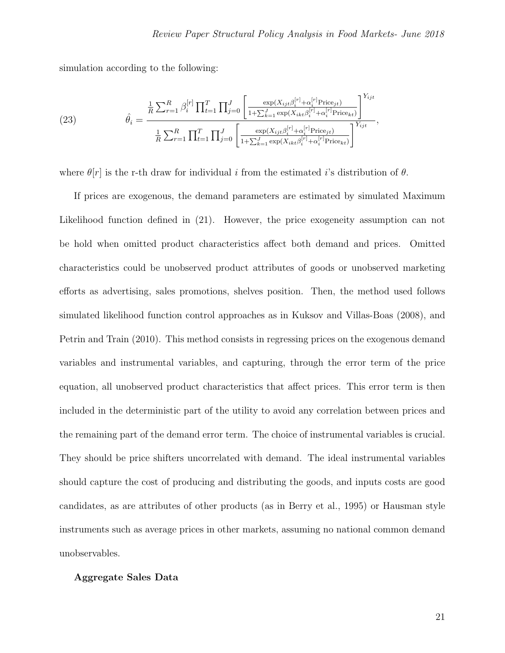simulation according to the following:

(23) 
$$
\hat{\theta}_{i} = \frac{\frac{1}{R} \sum_{r=1}^{R} \beta_{i}^{[r]} \prod_{t=1}^{T} \prod_{j=0}^{J} \left[ \frac{\exp(X_{ijt} \beta_{i}^{[r]} + \alpha_{i}^{[r]}\text{Price}_{jt})}{1 + \sum_{k=1}^{J} \exp(X_{ikt} \beta_{i}^{[r]} + \alpha_{i}^{[r]}\text{Price}_{kt})} \right]^{Y_{ijt}}}{\frac{1}{R} \sum_{r=1}^{R} \prod_{t=1}^{T} \prod_{j=0}^{J} \left[ \frac{\exp(X_{ijt} \beta_{i}^{[r]} + \alpha_{i}^{[r]}\text{Price}_{jt})}{1 + \sum_{k=1}^{J} \exp(X_{ikt} \beta_{i}^{[r]} + \alpha_{i}^{[r]}\text{Price}_{kt})} \right]^{Y_{ijt}}},
$$

where  $\theta[r]$  is the r-th draw for individual i from the estimated i's distribution of  $\theta$ .

If prices are exogenous, the demand parameters are estimated by simulated Maximum Likelihood function defined in [\(21\)](#page-19-1). However, the price exogeneity assumption can not be hold when omitted product characteristics affect both demand and prices. Omitted characteristics could be unobserved product attributes of goods or unobserved marketing efforts as advertising, sales promotions, shelves position. Then, the method used follows simulated likelihood function control approaches as in Kuksov and Villas-Boas (2008), and Petrin and Train (2010). This method consists in regressing prices on the exogenous demand variables and instrumental variables, and capturing, through the error term of the price equation, all unobserved product characteristics that affect prices. This error term is then included in the deterministic part of the utility to avoid any correlation between prices and the remaining part of the demand error term. The choice of instrumental variables is crucial. They should be price shifters uncorrelated with demand. The ideal instrumental variables should capture the cost of producing and distributing the goods, and inputs costs are good candidates, as are attributes of other products (as in Berry et al., 1995) or Hausman style instruments such as average prices in other markets, assuming no national common demand unobservables.

#### Aggregate Sales Data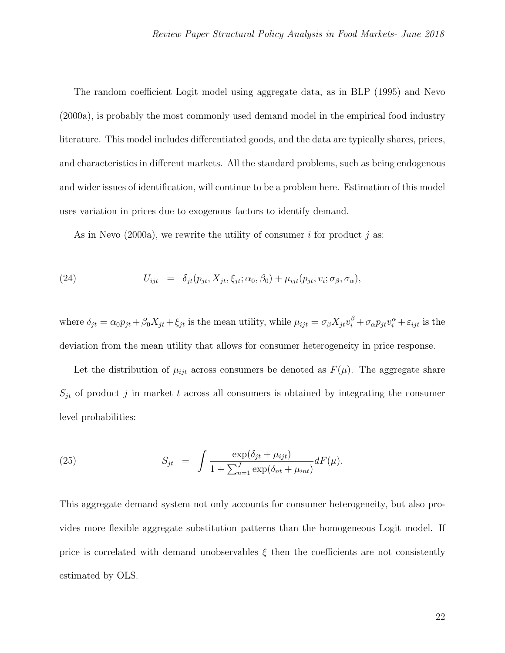The random coefficient Logit model using aggregate data, as in BLP (1995) and Nevo (2000a), is probably the most commonly used demand model in the empirical food industry literature. This model includes differentiated goods, and the data are typically shares, prices, and characteristics in different markets. All the standard problems, such as being endogenous and wider issues of identification, will continue to be a problem here. Estimation of this model uses variation in prices due to exogenous factors to identify demand.

As in Nevo (2000a), we rewrite the utility of consumer i for product j as:

(24) 
$$
U_{ijt} = \delta_{jt}(p_{jt}, X_{jt}, \xi_{jt}; \alpha_0, \beta_0) + \mu_{ijt}(p_{jt}, v_i; \sigma_\beta, \sigma_\alpha),
$$

where  $\delta_{jt} = \alpha_0 p_{jt} + \beta_0 X_{jt} + \xi_{jt}$  is the mean utility, while  $\mu_{ijt} = \sigma_\beta X_{jt} v_i^\beta + \sigma_\alpha p_{jt} v_i^\alpha + \varepsilon_{ijt}$  is the deviation from the mean utility that allows for consumer heterogeneity in price response.

Let the distribution of  $\mu_{ijt}$  across consumers be denoted as  $F(\mu)$ . The aggregate share  $S_{jt}$  of product j in market t across all consumers is obtained by integrating the consumer level probabilities:

(25) 
$$
S_{jt} = \int \frac{\exp(\delta_{jt} + \mu_{ijt})}{1 + \sum_{n=1}^{J} \exp(\delta_{nt} + \mu_{int})} dF(\mu).
$$

This aggregate demand system not only accounts for consumer heterogeneity, but also provides more flexible aggregate substitution patterns than the homogeneous Logit model. If price is correlated with demand unobservables  $\xi$  then the coefficients are not consistently estimated by OLS.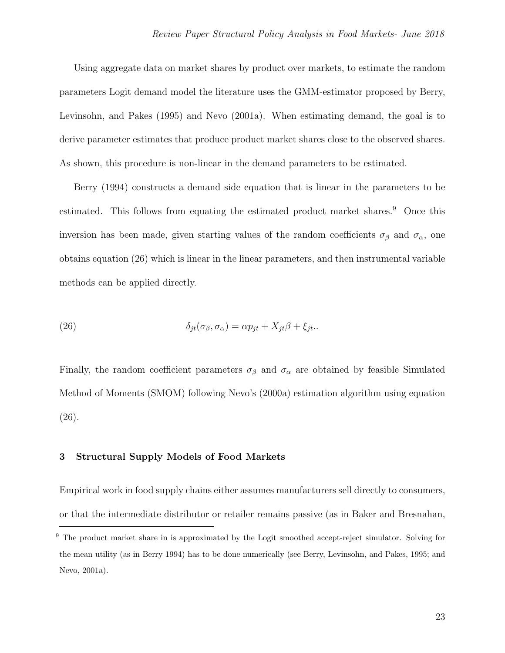Using aggregate data on market shares by product over markets, to estimate the random parameters Logit demand model the literature uses the GMM-estimator proposed by Berry, Levinsohn, and Pakes (1995) and Nevo (2001a). When estimating demand, the goal is to derive parameter estimates that produce product market shares close to the observed shares. As shown, this procedure is non-linear in the demand parameters to be estimated.

Berry (1994) constructs a demand side equation that is linear in the parameters to be estimated. This follows from equating the estimated product market shares.<sup>[9](#page-22-0)</sup> Once this inversion has been made, given starting values of the random coefficients  $\sigma_{\beta}$  and  $\sigma_{\alpha}$ , one obtains equation [\(26\)](#page-22-1) which is linear in the linear parameters, and then instrumental variable methods can be applied directly.

<span id="page-22-1"></span>(26) 
$$
\delta_{jt}(\sigma_{\beta}, \sigma_{\alpha}) = \alpha p_{jt} + X_{jt}\beta + \xi_{jt}.
$$

Finally, the random coefficient parameters  $\sigma_{\beta}$  and  $\sigma_{\alpha}$  are obtained by feasible Simulated Method of Moments (SMOM) following Nevo's (2000a) estimation algorithm using equation [\(26\)](#page-22-1).

#### 3 Structural Supply Models of Food Markets

Empirical work in food supply chains either assumes manufacturers sell directly to consumers, or that the intermediate distributor or retailer remains passive (as in Baker and Bresnahan,

<span id="page-22-0"></span><sup>&</sup>lt;sup>9</sup> The product market share in is approximated by the Logit smoothed accept-reject simulator. Solving for the mean utility (as in Berry 1994) has to be done numerically (see Berry, Levinsohn, and Pakes, 1995; and Nevo, 2001a).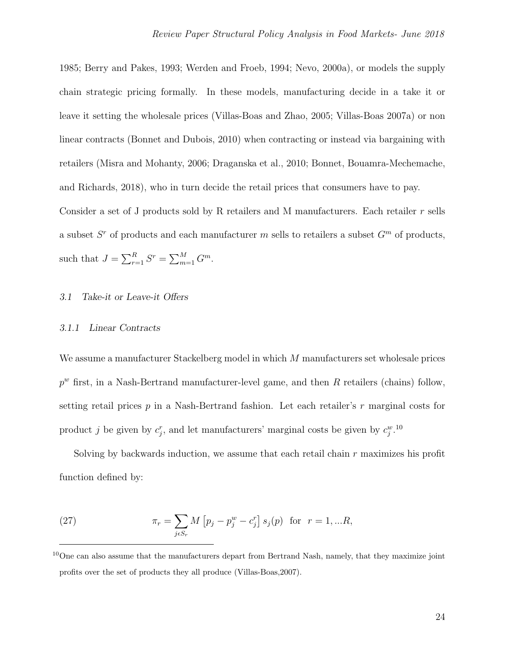1985; Berry and Pakes, 1993; Werden and Froeb, 1994; Nevo, 2000a), or models the supply chain strategic pricing formally. In these models, manufacturing decide in a take it or leave it setting the wholesale prices (Villas-Boas and Zhao, 2005; Villas-Boas 2007a) or non linear contracts (Bonnet and Dubois, 2010) when contracting or instead via bargaining with retailers (Misra and Mohanty, 2006; Draganska et al., 2010; Bonnet, Bouamra-Mechemache, and Richards, 2018), who in turn decide the retail prices that consumers have to pay. Consider a set of J products sold by R retailers and M manufacturers. Each retailer r sells

a subset  $S<sup>r</sup>$  of products and each manufacturer m sells to retailers a subset  $G<sup>m</sup>$  of products,

such that  $J = \sum_{r=1}^{R} S^r = \sum_{m=1}^{M} G^m$ .

#### 3.1 Take-it or Leave-it Offers

## 3.1.1 Linear Contracts

We assume a manufacturer Stackelberg model in which M manufacturers set wholesale prices  $p^w$  first, in a Nash-Bertrand manufacturer-level game, and then R retailers (chains) follow, setting retail prices  $p$  in a Nash-Bertrand fashion. Let each retailer's  $r$  marginal costs for product j be given by  $c_j^r$ , and let manufacturers' marginal costs be given by  $c_j^w$ .<sup>[10](#page-23-0)</sup>

Solving by backwards induction, we assume that each retail chain  $r$  maximizes his profit function defined by:

<span id="page-23-1"></span>(27) 
$$
\pi_r = \sum_{j \in S_r} M \left[ p_j - p_j^w - c_j^r \right] s_j(p) \text{ for } r = 1, ...R,
$$

<span id="page-23-0"></span><sup>&</sup>lt;sup>10</sup>One can also assume that the manufacturers depart from Bertrand Nash, namely, that they maximize joint profits over the set of products they all produce (Villas-Boas,2007).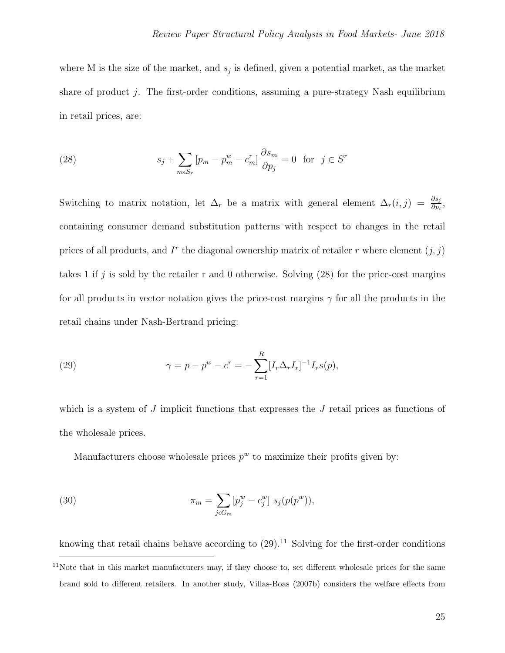where M is the size of the market, and  $s_j$  is defined, given a potential market, as the market share of product j. The first-order conditions, assuming a pure-strategy Nash equilibrium in retail prices, are:

<span id="page-24-0"></span>(28) 
$$
s_j + \sum_{m \in S_r} [p_m - p_m^w - c_m^r] \frac{\partial s_m}{\partial p_j} = 0 \text{ for } j \in S^r
$$

Switching to matrix notation, let  $\Delta_r$  be a matrix with general element  $\Delta_r(i,j) = \frac{\partial s_j}{\partial p_i}$ , containing consumer demand substitution patterns with respect to changes in the retail prices of all products, and  $I<sup>r</sup>$  the diagonal ownership matrix of retailer r where element  $(j, j)$ takes 1 if j is sold by the retailer r and 0 otherwise. Solving  $(28)$  for the price-cost margins for all products in vector notation gives the price-cost margins  $\gamma$  for all the products in the retail chains under Nash-Bertrand pricing:

<span id="page-24-1"></span>(29) 
$$
\gamma = p - p^{w} - c^{r} = - \sum_{r=1}^{R} [I_{r} \Delta_{r} I_{r}]^{-1} I_{r} s(p),
$$

which is a system of  $J$  implicit functions that expresses the  $J$  retail prices as functions of the wholesale prices.

Manufacturers choose wholesale prices  $p^w$  to maximize their profits given by:

(30) 
$$
\pi_m = \sum_{j \in G_m} [p_j^w - c_j^w] s_j(p(p^w)),
$$

knowing that retail chains behave according to  $(29)$ .<sup>[11](#page-24-2)</sup> Solving for the first-order conditions

<span id="page-24-2"></span> $11$ Note that in this market manufacturers may, if they choose to, set different wholesale prices for the same brand sold to different retailers. In another study, Villas-Boas (2007b) considers the welfare effects from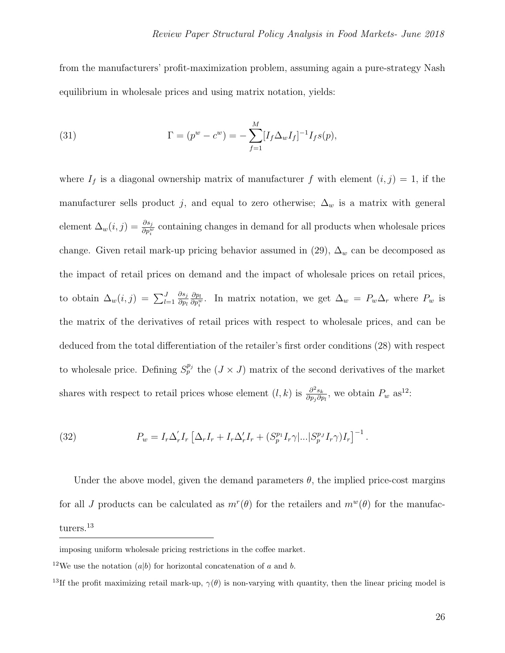from the manufacturers' profit-maximization problem, assuming again a pure-strategy Nash equilibrium in wholesale prices and using matrix notation, yields:

(31) 
$$
\Gamma = (p^{w} - c^{w}) = -\sum_{f=1}^{M} [I_{f} \Delta_{w} I_{f}]^{-1} I_{f} s(p),
$$

where  $I_f$  is a diagonal ownership matrix of manufacturer f with element  $(i, j) = 1$ , if the manufacturer sells product j, and equal to zero otherwise;  $\Delta_w$  is a matrix with general element  $\Delta_w(i,j) = \frac{\partial s_j}{\partial p_i^w}$  containing changes in demand for all products when wholesale prices change. Given retail mark-up pricing behavior assumed in [\(29\)](#page-24-1),  $\Delta_w$  can be decomposed as the impact of retail prices on demand and the impact of wholesale prices on retail prices, to obtain  $\Delta_w(i,j) = \sum_{l=1}^J$  $\partial s_j$  $\partial p_l$  $\partial p_l$  $\frac{\partial p_l}{\partial p_i^w}$ . In matrix notation, we get  $\Delta_w = P_w \Delta_r$  where  $P_w$  is the matrix of the derivatives of retail prices with respect to wholesale prices, and can be deduced from the total differentiation of the retailer's first order conditions [\(28\)](#page-24-0) with respect to wholesale price. Defining  $S_p^{p_j}$  the  $(J \times J)$  matrix of the second derivatives of the market shares with respect to retail prices whose element  $(l, k)$  is  $\frac{\partial^2 s_k}{\partial r_k \partial t}$  $\frac{\partial^2 s_k}{\partial p_j \partial p_l}$ , we obtain  $P_w$  as<sup>[12](#page-25-0)</sup>:

<span id="page-25-2"></span>(32) 
$$
P_w = I_r \Delta'_r I_r \left[ \Delta_r I_r + I_r \Delta'_r I_r + (S_p^{p_1} I_r \gamma |... | S_p^{p_J} I_r \gamma) I_r \right]^{-1}.
$$

Under the above model, given the demand parameters  $\theta$ , the implied price-cost margins for all J products can be calculated as  $m^r(\theta)$  for the retailers and  $m^w(\theta)$  for the manufac-turers.<sup>[13](#page-25-1)</sup>

<span id="page-25-0"></span>imposing uniform wholesale pricing restrictions in the coffee market.

<span id="page-25-1"></span><sup>&</sup>lt;sup>12</sup>We use the notation  $(a|b)$  for horizontal concatenation of a and b.

<sup>&</sup>lt;sup>13</sup>If the profit maximizing retail mark-up,  $\gamma(\theta)$  is non-varying with quantity, then the linear pricing model is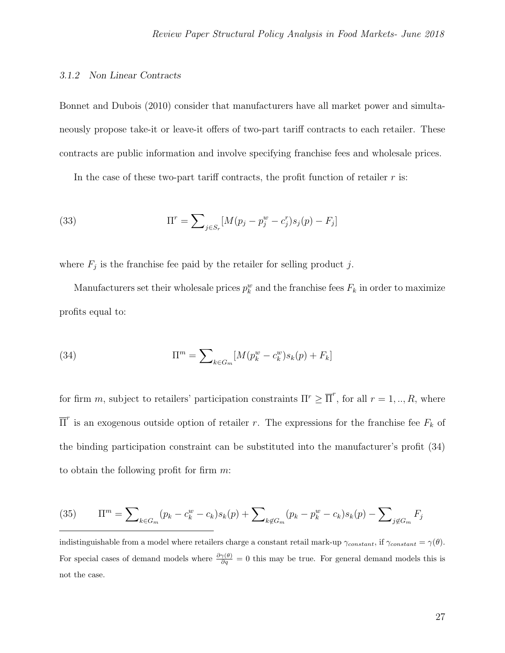#### 3.1.2 Non Linear Contracts

Bonnet and Dubois (2010) consider that manufacturers have all market power and simultaneously propose take-it or leave-it offers of two-part tariff contracts to each retailer. These contracts are public information and involve specifying franchise fees and wholesale prices.

In the case of these two-part tariff contracts, the profit function of retailer  $r$  is:

(33) 
$$
\Pi^r = \sum_{j \in S_r} [M(p_j - p_j^w - c_j^r)s_j(p) - F_j]
$$

where  $F_j$  is the franchise fee paid by the retailer for selling product j.

Manufacturers set their wholesale prices  $p_k^w$  and the franchise fees  $F_k$  in order to maximize profits equal to:

<span id="page-26-0"></span>(34) 
$$
\Pi^{m} = \sum_{k \in G_{m}} [M(p_{k}^{w} - c_{k}^{w})s_{k}(p) + F_{k}]
$$

for firm m, subject to retailers' participation constraints  $\Pi^r \geq \overline{\Pi}^r$ , for all  $r = 1, ..., R$ , where  $\overline{\Pi}^r$  is an exogenous outside option of retailer r. The expressions for the franchise fee  $F_k$  of the binding participation constraint can be substituted into the manufacturer's profit [\(34\)](#page-26-0) to obtain the following profit for firm  $m$ :

<span id="page-26-1"></span>(35) 
$$
\Pi^m = \sum_{k \in G_m} (p_k - c_k^w - c_k) s_k(p) + \sum_{k \notin G_m} (p_k - p_k^w - c_k) s_k(p) - \sum_{j \notin G_m} F_j
$$

indistinguishable from a model where retailers charge a constant retail mark-up  $\gamma_{constant}$ , if  $\gamma_{constant} = \gamma(\theta)$ . For special cases of demand models where  $\frac{\partial \gamma(\theta)}{\partial q} = 0$  this may be true. For general demand models this is not the case.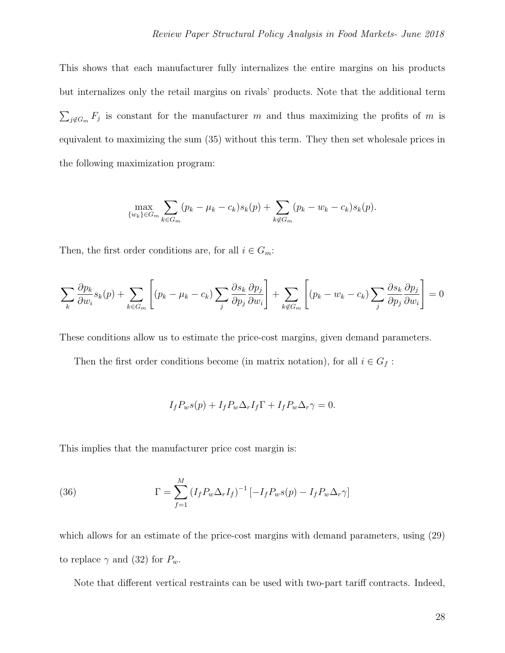This shows that each manufacturer fully internalizes the entire margins on his products but internalizes only the retail margins on rivals' products. Note that the additional term  $\sum_{j \notin G_m} F_j$  is constant for the manufacturer m and thus maximizing the profits of m is equivalent to maximizing the sum [\(35\)](#page-26-1) without this term. They then set wholesale prices in the following maximization program:

$$
\max_{\{w_k\} \in G_m} \sum_{k \in G_m} (p_k - \mu_k - c_k) s_k(p) + \sum_{k \notin G_m} (p_k - w_k - c_k) s_k(p).
$$

Then, the first order conditions are, for all  $i \in G_m$ :

$$
\sum_{k} \frac{\partial p_k}{\partial w_i} s_k(p) + \sum_{k \in G_m} \left[ (p_k - \mu_k - c_k) \sum_{j} \frac{\partial s_k}{\partial p_j} \frac{\partial p_j}{\partial w_i} \right] + \sum_{k \notin G_m} \left[ (p_k - w_k - c_k) \sum_{j} \frac{\partial s_k}{\partial p_j} \frac{\partial p_j}{\partial w_i} \right] = 0
$$

These conditions allow us to estimate the price-cost margins, given demand parameters.

Then the first order conditions become (in matrix notation), for all  $i \in G_f$ :

$$
I_f P_w s(p) + I_f P_w \Delta_r I_f \Gamma + I_f P_w \Delta_r \gamma = 0.
$$

This implies that the manufacturer price cost margin is:

(36) 
$$
\Gamma = \sum_{f=1}^{M} (I_f P_w \Delta_r I_f)^{-1} \left[ -I_f P_w s(p) - I_f P_w \Delta_r \gamma \right]
$$

which allows for an estimate of the price-cost margins with demand parameters, using  $(29)$ to replace  $\gamma$  and [\(32\)](#page-25-2) for  $P_w$ .

Note that different vertical restraints can be used with two-part tariff contracts. Indeed,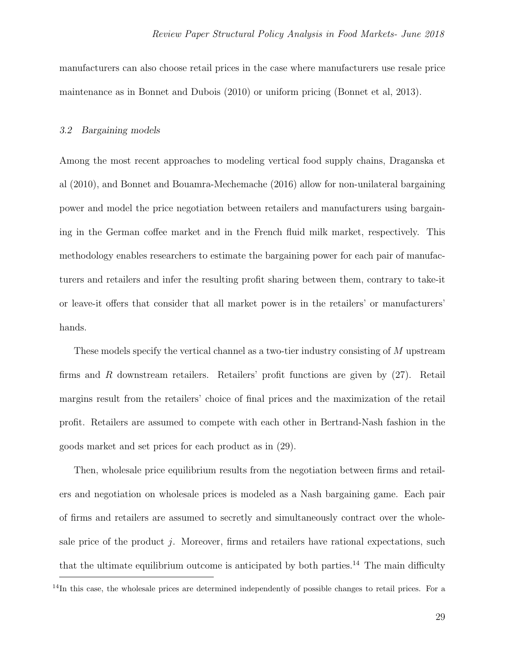manufacturers can also choose retail prices in the case where manufacturers use resale price maintenance as in Bonnet and Dubois (2010) or uniform pricing (Bonnet et al, 2013).

## 3.2 Bargaining models

Among the most recent approaches to modeling vertical food supply chains, Draganska et al (2010), and Bonnet and Bouamra-Mechemache (2016) allow for non-unilateral bargaining power and model the price negotiation between retailers and manufacturers using bargaining in the German coffee market and in the French fluid milk market, respectively. This methodology enables researchers to estimate the bargaining power for each pair of manufacturers and retailers and infer the resulting profit sharing between them, contrary to take-it or leave-it offers that consider that all market power is in the retailers' or manufacturers' hands.

These models specify the vertical channel as a two-tier industry consisting of M upstream firms and R downstream retailers. Retailers' profit functions are given by [\(27\)](#page-23-1). Retail margins result from the retailers' choice of final prices and the maximization of the retail profit. Retailers are assumed to compete with each other in Bertrand-Nash fashion in the goods market and set prices for each product as in [\(29\)](#page-24-1).

Then, wholesale price equilibrium results from the negotiation between firms and retailers and negotiation on wholesale prices is modeled as a Nash bargaining game. Each pair of firms and retailers are assumed to secretly and simultaneously contract over the wholesale price of the product j. Moreover, firms and retailers have rational expectations, such that the ultimate equilibrium outcome is anticipated by both parties.<sup>[14](#page-28-0)</sup> The main difficulty

<span id="page-28-0"></span> $14$ In this case, the wholesale prices are determined independently of possible changes to retail prices. For a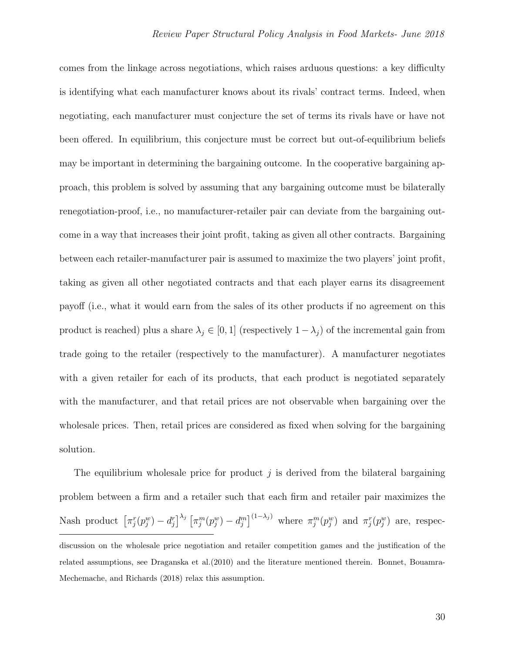comes from the linkage across negotiations, which raises arduous questions: a key difficulty is identifying what each manufacturer knows about its rivals' contract terms. Indeed, when negotiating, each manufacturer must conjecture the set of terms its rivals have or have not been offered. In equilibrium, this conjecture must be correct but out-of-equilibrium beliefs may be important in determining the bargaining outcome. In the cooperative bargaining approach, this problem is solved by assuming that any bargaining outcome must be bilaterally renegotiation-proof, i.e., no manufacturer-retailer pair can deviate from the bargaining outcome in a way that increases their joint profit, taking as given all other contracts. Bargaining between each retailer-manufacturer pair is assumed to maximize the two players' joint profit, taking as given all other negotiated contracts and that each player earns its disagreement payoff (i.e., what it would earn from the sales of its other products if no agreement on this product is reached) plus a share  $\lambda_j \in [0,1]$  (respectively  $1-\lambda_j$ ) of the incremental gain from trade going to the retailer (respectively to the manufacturer). A manufacturer negotiates with a given retailer for each of its products, that each product is negotiated separately with the manufacturer, and that retail prices are not observable when bargaining over the wholesale prices. Then, retail prices are considered as fixed when solving for the bargaining solution.

The equilibrium wholesale price for product  $j$  is derived from the bilateral bargaining problem between a firm and a retailer such that each firm and retailer pair maximizes the Nash product  $\left[\pi_j^r(p_j^w) - d_j^r\right]^{\lambda_j} \left[\pi_j^m(p_j^w) - d_j^m\right]^{(1-\lambda_j)}$  where  $\pi_j^m(p_j^w)$  and  $\pi_j^r(p_j^w)$  are, respecdiscussion on the wholesale price negotiation and retailer competition games and the justification of the related assumptions, see Draganska et al.(2010) and the literature mentioned therein. Bonnet, Bouamra-Mechemache, and Richards (2018) relax this assumption.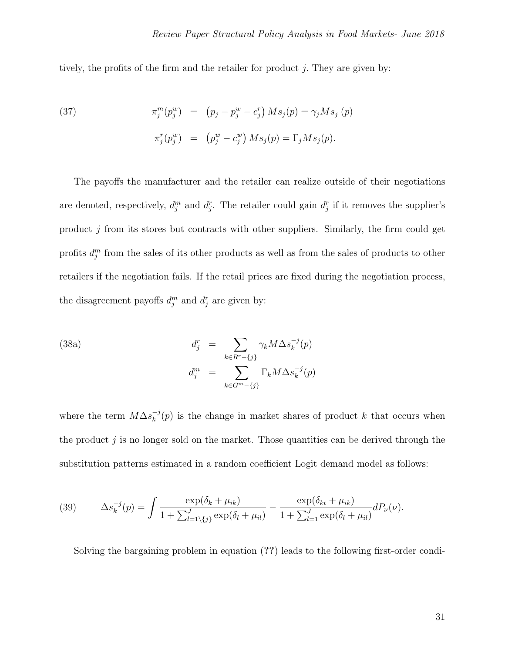tively, the profits of the firm and the retailer for product  $j$ . They are given by:

<span id="page-30-0"></span>(37) 
$$
\pi_j^m(p_j^w) = (p_j - p_j^w - c_j^r) M s_j(p) = \gamma_j M s_j (p)
$$

$$
\pi_j^r(p_j^w) = (p_j^w - c_j^w) M s_j(p) = \Gamma_j M s_j(p).
$$

The payoffs the manufacturer and the retailer can realize outside of their negotiations are denoted, respectively,  $d_j^m$  and  $d_j^r$ . The retailer could gain  $d_j^r$  if it removes the supplier's product  $j$  from its stores but contracts with other suppliers. Similarly, the firm could get profits  $d_j^m$  from the sales of its other products as well as from the sales of products to other retailers if the negotiation fails. If the retail prices are fixed during the negotiation process, the disagreement payoffs  $d_j^m$  and  $d_j^r$  are given by:

<span id="page-30-1"></span>(38a)  
\n
$$
d_j^r = \sum_{k \in R^r - \{j\}} \gamma_k M \Delta s_k^{-j}(p)
$$
\n
$$
d_j^m = \sum_{k \in G^m - \{j\}} \Gamma_k M \Delta s_k^{-j}(p)
$$

where the term  $M\Delta s_k^{-j}$  $k^{-1}(p)$  is the change in market shares of product k that occurs when the product  $j$  is no longer sold on the market. Those quantities can be derived through the substitution patterns estimated in a random coefficient Logit demand model as follows:

(39) 
$$
\Delta s_k^{-j}(p) = \int \frac{\exp(\delta_k + \mu_{ik})}{1 + \sum_{l=1 \setminus \{j\}}^J \exp(\delta_l + \mu_{il})} - \frac{\exp(\delta_{kt} + \mu_{ik})}{1 + \sum_{l=1}^J \exp(\delta_l + \mu_{il})} dP_\nu(\nu).
$$

Solving the bargaining problem in equation (??) leads to the following first-order condi-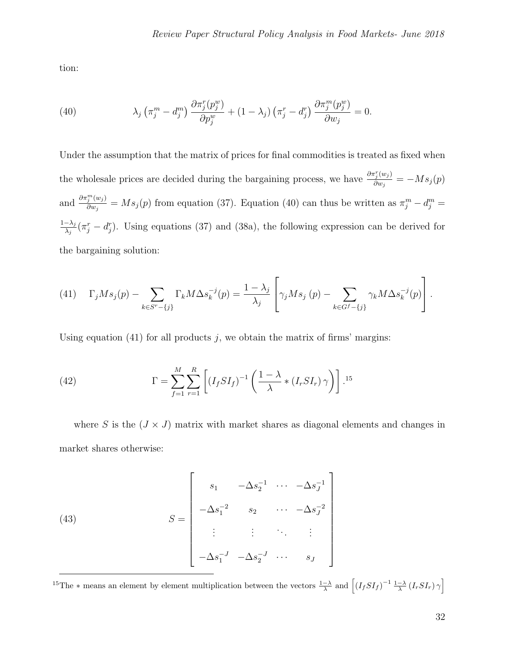tion:

<span id="page-31-0"></span>(40) 
$$
\lambda_j \left( \pi_j^m - d_j^m \right) \frac{\partial \pi_j^r(p_j^w)}{\partial p_j^w} + (1 - \lambda_j) \left( \pi_j^r - d_j^r \right) \frac{\partial \pi_j^m(p_j^w)}{\partial w_j} = 0.
$$

Under the assumption that the matrix of prices for final commodities is treated as fixed when the wholesale prices are decided during the bargaining process, we have  $\frac{\partial \pi_i^r(w_j)}{\partial w_j}$  $\frac{\partial^i_j{}^{(w_j)}}{\partial w_j} = -M s_j(p)$ and  $\frac{\partial \pi_j^m(w_j)}{\partial w_j}$  $\frac{\partial^2 (w_j)}{\partial w_j} = M s_j(p)$  from equation [\(37\)](#page-30-0). Equation [\(40\)](#page-31-0) can thus be written as  $\pi_j^m - d_j^m =$  $1-\lambda_j$  $\frac{-\lambda_j}{\lambda_j}(\pi_j^r - d_j^r)$ . Using equations [\(37\)](#page-30-0) and [\(38a\)](#page-30-1), the following expression can be derived for the bargaining solution:

<span id="page-31-1"></span>(41) 
$$
\Gamma_j M s_j(p) - \sum_{k \in S^r - \{j\}} \Gamma_k M \Delta s_k^{-j}(p) = \frac{1 - \lambda_j}{\lambda_j} \left[ \gamma_j M s_j(p) - \sum_{k \in G^f - \{j\}} \gamma_k M \Delta s_k^{-j}(p) \right].
$$

Using equation [\(41\)](#page-31-1) for all products  $j$ , we obtain the matrix of firms' margins:

<span id="page-31-3"></span>(42) 
$$
\Gamma = \sum_{f=1}^{M} \sum_{r=1}^{R} \left[ (I_f S I_f)^{-1} \left( \frac{1-\lambda}{\lambda} * (I_r S I_r) \gamma \right) \right] .^{15}
$$

where S is the  $(J \times J)$  matrix with market shares as diagonal elements and changes in market shares otherwise:

(43) 
$$
S = \begin{bmatrix} s_1 & -\Delta s_2^{-1} & \cdots & -\Delta s_J^{-1} \\ -\Delta s_1^{-2} & s_2 & \cdots & -\Delta s_J^{-2} \\ \vdots & \vdots & \ddots & \vdots \\ -\Delta s_1^{-J} & -\Delta s_2^{-J} & \cdots & s_J \end{bmatrix}
$$

<span id="page-31-2"></span><sup>15</sup>The  $*$  means an element by element multiplication between the vectors  $\frac{1-\lambda}{\lambda}$  and  $\left[ (I_f S I_f)^{-1} \frac{1-\lambda}{\lambda} (I_r S I_r) \gamma \right]$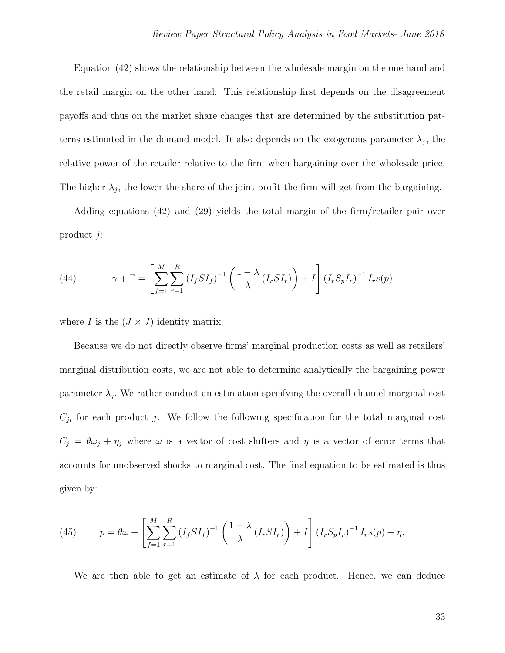Equation [\(42\)](#page-31-3) shows the relationship between the wholesale margin on the one hand and the retail margin on the other hand. This relationship first depends on the disagreement payoffs and thus on the market share changes that are determined by the substitution patterns estimated in the demand model. It also depends on the exogenous parameter  $\lambda_j$ , the relative power of the retailer relative to the firm when bargaining over the wholesale price. The higher  $\lambda_j$ , the lower the share of the joint profit the firm will get from the bargaining.

Adding equations [\(42\)](#page-31-3) and [\(29\)](#page-24-1) yields the total margin of the firm/retailer pair over product j:

(44) 
$$
\gamma + \Gamma = \left[ \sum_{f=1}^{M} \sum_{r=1}^{R} (I_f S I_f)^{-1} \left( \frac{1 - \lambda}{\lambda} (I_r S I_r) \right) + I \right] (I_r S_p I_r)^{-1} I_r s(p)
$$

where I is the  $(J \times J)$  identity matrix.

Because we do not directly observe firms' marginal production costs as well as retailers' marginal distribution costs, we are not able to determine analytically the bargaining power parameter  $\lambda_j$ . We rather conduct an estimation specifying the overall channel marginal cost  $C_{it}$  for each product j. We follow the following specification for the total marginal cost  $C_j = \theta \omega_j + \eta_j$  where  $\omega$  is a vector of cost shifters and  $\eta$  is a vector of error terms that accounts for unobserved shocks to marginal cost. The final equation to be estimated is thus given by:

<span id="page-32-0"></span>(45) 
$$
p = \theta \omega + \left[ \sum_{f=1}^{M} \sum_{r=1}^{R} (I_f S I_f)^{-1} \left( \frac{1 - \lambda}{\lambda} (I_r S I_r) \right) + I \right] (I_r S_p I_r)^{-1} I_r s(p) + \eta.
$$

We are then able to get an estimate of  $\lambda$  for each product. Hence, we can deduce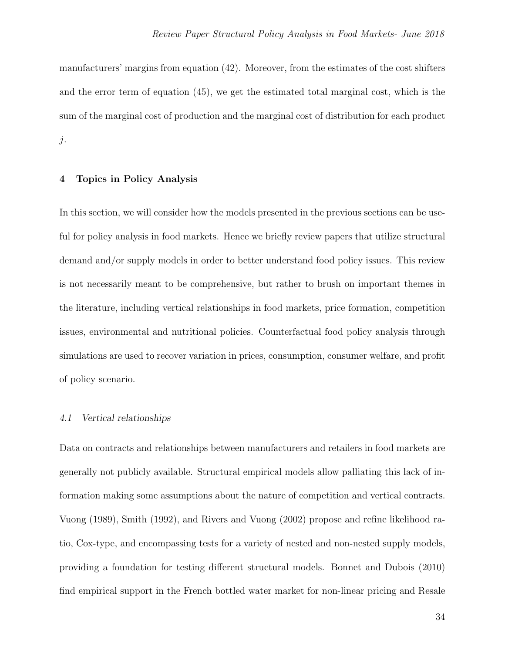manufacturers' margins from equation [\(42\)](#page-31-3). Moreover, from the estimates of the cost shifters and the error term of equation [\(45\)](#page-32-0), we get the estimated total marginal cost, which is the sum of the marginal cost of production and the marginal cost of distribution for each product  $j$ .

## 4 Topics in Policy Analysis

In this section, we will consider how the models presented in the previous sections can be useful for policy analysis in food markets. Hence we briefly review papers that utilize structural demand and/or supply models in order to better understand food policy issues. This review is not necessarily meant to be comprehensive, but rather to brush on important themes in the literature, including vertical relationships in food markets, price formation, competition issues, environmental and nutritional policies. Counterfactual food policy analysis through simulations are used to recover variation in prices, consumption, consumer welfare, and profit of policy scenario.

## 4.1 Vertical relationships

Data on contracts and relationships between manufacturers and retailers in food markets are generally not publicly available. Structural empirical models allow palliating this lack of information making some assumptions about the nature of competition and vertical contracts. Vuong (1989), Smith (1992), and Rivers and Vuong (2002) propose and refine likelihood ratio, Cox-type, and encompassing tests for a variety of nested and non-nested supply models, providing a foundation for testing different structural models. Bonnet and Dubois (2010) find empirical support in the French bottled water market for non-linear pricing and Resale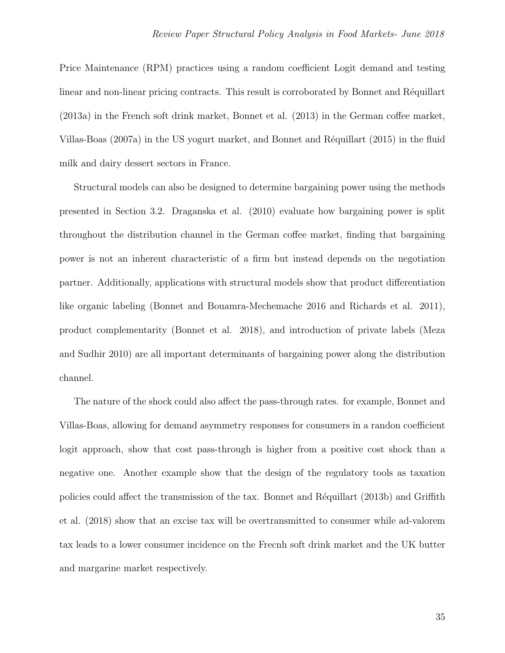Price Maintenance (RPM) practices using a random coefficient Logit demand and testing linear and non-linear pricing contracts. This result is corroborated by Bonnet and Réquillart (2013a) in the French soft drink market, Bonnet et al. (2013) in the German coffee market, Villas-Boas (2007a) in the US yogurt market, and Bonnet and Réquillart (2015) in the fluid milk and dairy dessert sectors in France.

Structural models can also be designed to determine bargaining power using the methods presented in Section 3.2. Draganska et al. (2010) evaluate how bargaining power is split throughout the distribution channel in the German coffee market, finding that bargaining power is not an inherent characteristic of a firm but instead depends on the negotiation partner. Additionally, applications with structural models show that product differentiation like organic labeling (Bonnet and Bouamra-Mechemache 2016 and Richards et al. 2011), product complementarity (Bonnet et al. 2018), and introduction of private labels (Meza and Sudhir 2010) are all important determinants of bargaining power along the distribution channel.

The nature of the shock could also affect the pass-through rates. for example, Bonnet and Villas-Boas, allowing for demand asymmetry responses for consumers in a randon coefficient logit approach, show that cost pass-through is higher from a positive cost shock than a negative one. Another example show that the design of the regulatory tools as taxation policies could affect the transmission of the tax. Bonnet and Réquillart (2013b) and Griffith et al. (2018) show that an excise tax will be overtransmitted to consumer while ad-valorem tax leads to a lower consumer incidence on the Frecnh soft drink market and the UK butter and margarine market respectively.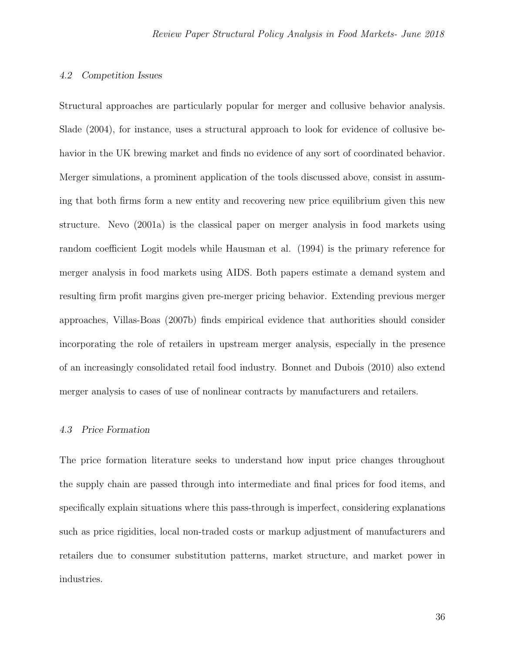## 4.2 Competition Issues

Structural approaches are particularly popular for merger and collusive behavior analysis. Slade (2004), for instance, uses a structural approach to look for evidence of collusive behavior in the UK brewing market and finds no evidence of any sort of coordinated behavior. Merger simulations, a prominent application of the tools discussed above, consist in assuming that both firms form a new entity and recovering new price equilibrium given this new structure. Nevo (2001a) is the classical paper on merger analysis in food markets using random coefficient Logit models while Hausman et al. (1994) is the primary reference for merger analysis in food markets using AIDS. Both papers estimate a demand system and resulting firm profit margins given pre-merger pricing behavior. Extending previous merger approaches, Villas-Boas (2007b) finds empirical evidence that authorities should consider incorporating the role of retailers in upstream merger analysis, especially in the presence of an increasingly consolidated retail food industry. Bonnet and Dubois (2010) also extend merger analysis to cases of use of nonlinear contracts by manufacturers and retailers.

# 4.3 Price Formation

The price formation literature seeks to understand how input price changes throughout the supply chain are passed through into intermediate and final prices for food items, and specifically explain situations where this pass-through is imperfect, considering explanations such as price rigidities, local non-traded costs or markup adjustment of manufacturers and retailers due to consumer substitution patterns, market structure, and market power in industries.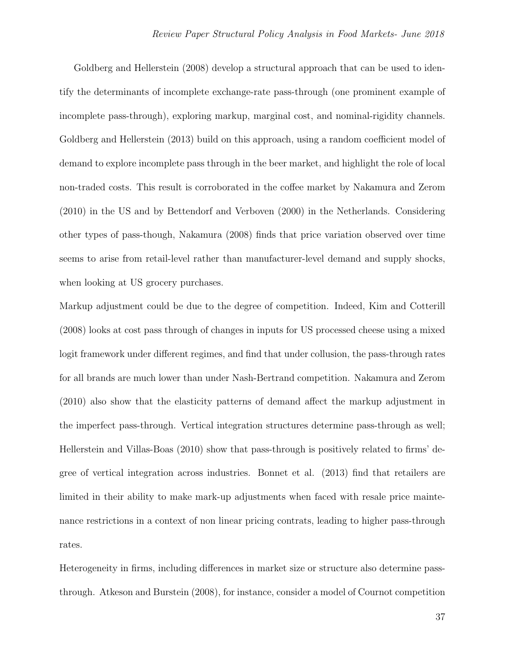Goldberg and Hellerstein (2008) develop a structural approach that can be used to identify the determinants of incomplete exchange-rate pass-through (one prominent example of incomplete pass-through), exploring markup, marginal cost, and nominal-rigidity channels. Goldberg and Hellerstein (2013) build on this approach, using a random coefficient model of demand to explore incomplete pass through in the beer market, and highlight the role of local non-traded costs. This result is corroborated in the coffee market by Nakamura and Zerom (2010) in the US and by Bettendorf and Verboven (2000) in the Netherlands. Considering other types of pass-though, Nakamura (2008) finds that price variation observed over time seems to arise from retail-level rather than manufacturer-level demand and supply shocks, when looking at US grocery purchases.

Markup adjustment could be due to the degree of competition. Indeed, Kim and Cotterill (2008) looks at cost pass through of changes in inputs for US processed cheese using a mixed logit framework under different regimes, and find that under collusion, the pass-through rates for all brands are much lower than under Nash-Bertrand competition. Nakamura and Zerom (2010) also show that the elasticity patterns of demand affect the markup adjustment in the imperfect pass-through. Vertical integration structures determine pass-through as well; Hellerstein and Villas-Boas (2010) show that pass-through is positively related to firms' degree of vertical integration across industries. Bonnet et al. (2013) find that retailers are limited in their ability to make mark-up adjustments when faced with resale price maintenance restrictions in a context of non linear pricing contrats, leading to higher pass-through rates.

Heterogeneity in firms, including differences in market size or structure also determine passthrough. Atkeson and Burstein (2008), for instance, consider a model of Cournot competition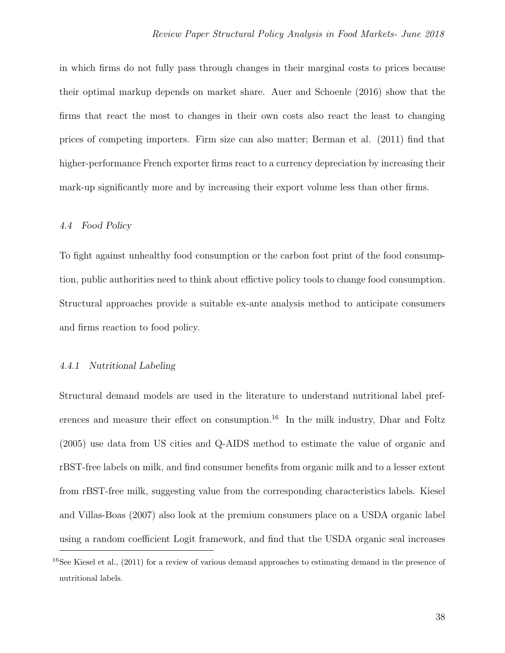in which firms do not fully pass through changes in their marginal costs to prices because their optimal markup depends on market share. Auer and Schoenle (2016) show that the firms that react the most to changes in their own costs also react the least to changing prices of competing importers. Firm size can also matter; Berman et al. (2011) find that higher-performance French exporter firms react to a currency depreciation by increasing their mark-up significantly more and by increasing their export volume less than other firms.

## 4.4 Food Policy

To fight against unhealthy food consumption or the carbon foot print of the food consumption, public authorities need to think about effictive policy tools to change food consumption. Structural approaches provide a suitable ex-ante analysis method to anticipate consumers and firms reaction to food policy.

## 4.4.1 Nutritional Labeling

Structural demand models are used in the literature to understand nutritional label pref-erences and measure their effect on consumption.<sup>[16](#page-37-0)</sup> In the milk industry, Dhar and Foltz (2005) use data from US cities and Q-AIDS method to estimate the value of organic and rBST-free labels on milk, and find consumer benefits from organic milk and to a lesser extent from rBST-free milk, suggesting value from the corresponding characteristics labels. Kiesel and Villas-Boas (2007) also look at the premium consumers place on a USDA organic label using a random coefficient Logit framework, and find that the USDA organic seal increases

<span id="page-37-0"></span><sup>16</sup>See Kiesel et al., (2011) for a review of various demand approaches to estimating demand in the presence of nutritional labels.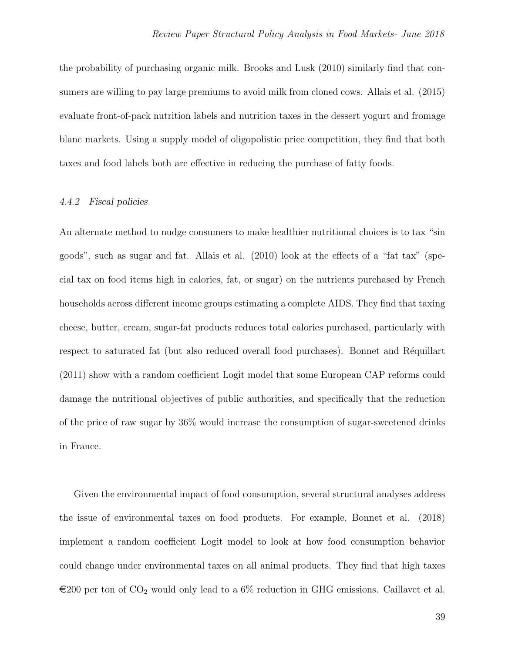the probability of purchasing organic milk. Brooks and Lusk (2010) similarly find that consumers are willing to pay large premiums to avoid milk from cloned cows. Allais et al. (2015) evaluate front-of-pack nutrition labels and nutrition taxes in the dessert yogurt and fromage blanc markets. Using a supply model of oligopolistic price competition, they find that both taxes and food labels both are effective in reducing the purchase of fatty foods.

## 4.4.2 Fiscal policies

An alternate method to nudge consumers to make healthier nutritional choices is to tax "sin goods", such as sugar and fat. Allais et al. (2010) look at the effects of a "fat tax" (special tax on food items high in calories, fat, or sugar) on the nutrients purchased by French households across different income groups estimating a complete AIDS. They find that taxing cheese, butter, cream, sugar-fat products reduces total calories purchased, particularly with respect to saturated fat (but also reduced overall food purchases). Bonnet and Réquillart (2011) show with a random coefficient Logit model that some European CAP reforms could damage the nutritional objectives of public authorities, and specifically that the reduction of the price of raw sugar by 36% would increase the consumption of sugar-sweetened drinks in France.

Given the environmental impact of food consumption, several structural analyses address the issue of environmental taxes on food products. For example, Bonnet et al. (2018) implement a random coefficient Logit model to look at how food consumption behavior could change under environmental taxes on all animal products. They find that high taxes  $\epsilon$ 200 per ton of CO<sub>2</sub> would only lead to a 6% reduction in GHG emissions. Caillavet et al.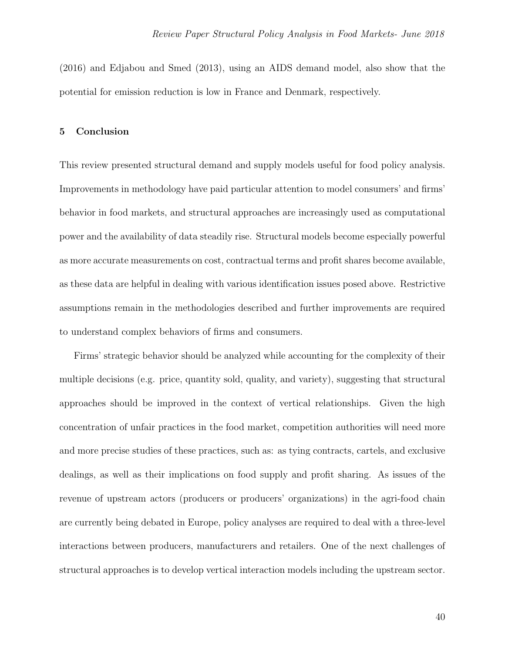(2016) and Edjabou and Smed (2013), using an AIDS demand model, also show that the potential for emission reduction is low in France and Denmark, respectively.

## 5 Conclusion

This review presented structural demand and supply models useful for food policy analysis. Improvements in methodology have paid particular attention to model consumers' and firms' behavior in food markets, and structural approaches are increasingly used as computational power and the availability of data steadily rise. Structural models become especially powerful as more accurate measurements on cost, contractual terms and profit shares become available, as these data are helpful in dealing with various identification issues posed above. Restrictive assumptions remain in the methodologies described and further improvements are required to understand complex behaviors of firms and consumers.

Firms' strategic behavior should be analyzed while accounting for the complexity of their multiple decisions (e.g. price, quantity sold, quality, and variety), suggesting that structural approaches should be improved in the context of vertical relationships. Given the high concentration of unfair practices in the food market, competition authorities will need more and more precise studies of these practices, such as: as tying contracts, cartels, and exclusive dealings, as well as their implications on food supply and profit sharing. As issues of the revenue of upstream actors (producers or producers' organizations) in the agri-food chain are currently being debated in Europe, policy analyses are required to deal with a three-level interactions between producers, manufacturers and retailers. One of the next challenges of structural approaches is to develop vertical interaction models including the upstream sector.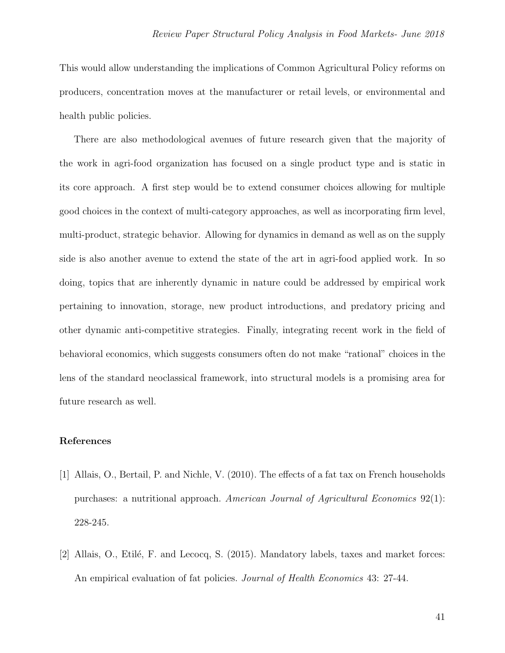This would allow understanding the implications of Common Agricultural Policy reforms on producers, concentration moves at the manufacturer or retail levels, or environmental and health public policies.

There are also methodological avenues of future research given that the majority of the work in agri-food organization has focused on a single product type and is static in its core approach. A first step would be to extend consumer choices allowing for multiple good choices in the context of multi-category approaches, as well as incorporating firm level, multi-product, strategic behavior. Allowing for dynamics in demand as well as on the supply side is also another avenue to extend the state of the art in agri-food applied work. In so doing, topics that are inherently dynamic in nature could be addressed by empirical work pertaining to innovation, storage, new product introductions, and predatory pricing and other dynamic anti-competitive strategies. Finally, integrating recent work in the field of behavioral economics, which suggests consumers often do not make "rational" choices in the lens of the standard neoclassical framework, into structural models is a promising area for future research as well.

# References

- [1] Allais, O., Bertail, P. and Nichle, V. (2010). The effects of a fat tax on French households purchases: a nutritional approach. American Journal of Agricultural Economics 92(1): 228-245.
- [2] Allais, O., Etilé, F. and Lecocq, S. (2015). Mandatory labels, taxes and market forces: An empirical evaluation of fat policies. *Journal of Health Economics* 43: 27-44.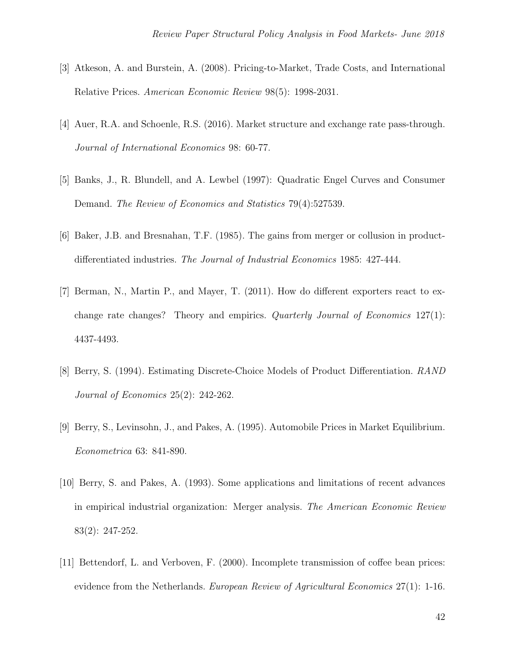- [3] Atkeson, A. and Burstein, A. (2008). Pricing-to-Market, Trade Costs, and International Relative Prices. American Economic Review 98(5): 1998-2031.
- [4] Auer, R.A. and Schoenle, R.S. (2016). Market structure and exchange rate pass-through. Journal of International Economics 98: 60-77.
- [5] Banks, J., R. Blundell, and A. Lewbel (1997): Quadratic Engel Curves and Consumer Demand. The Review of Economics and Statistics 79(4):527539.
- [6] Baker, J.B. and Bresnahan, T.F. (1985). The gains from merger or collusion in productdifferentiated industries. The Journal of Industrial Economics 1985: 427-444.
- [7] Berman, N., Martin P., and Mayer, T. (2011). How do different exporters react to exchange rate changes? Theory and empirics. Quarterly Journal of Economics 127(1): 4437-4493.
- [8] Berry, S. (1994). Estimating Discrete-Choice Models of Product Differentiation. RAND Journal of Economics 25(2): 242-262.
- [9] Berry, S., Levinsohn, J., and Pakes, A. (1995). Automobile Prices in Market Equilibrium. Econometrica 63: 841-890.
- [10] Berry, S. and Pakes, A. (1993). Some applications and limitations of recent advances in empirical industrial organization: Merger analysis. The American Economic Review 83(2): 247-252.
- [11] Bettendorf, L. and Verboven, F. (2000). Incomplete transmission of coffee bean prices: evidence from the Netherlands. European Review of Agricultural Economics 27(1): 1-16.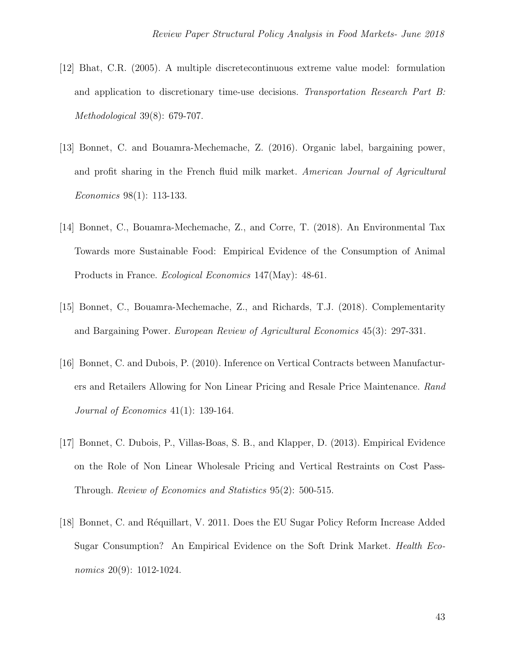- [12] Bhat, C.R. (2005). A multiple discretecontinuous extreme value model: formulation and application to discretionary time-use decisions. Transportation Research Part B: Methodological 39(8): 679-707.
- [13] Bonnet, C. and Bouamra-Mechemache, Z. (2016). Organic label, bargaining power, and profit sharing in the French fluid milk market. American Journal of Agricultural Economics 98(1): 113-133.
- [14] Bonnet, C., Bouamra-Mechemache, Z., and Corre, T. (2018). An Environmental Tax Towards more Sustainable Food: Empirical Evidence of the Consumption of Animal Products in France. Ecological Economics 147(May): 48-61.
- [15] Bonnet, C., Bouamra-Mechemache, Z., and Richards, T.J. (2018). Complementarity and Bargaining Power. European Review of Agricultural Economics 45(3): 297-331.
- [16] Bonnet, C. and Dubois, P. (2010). Inference on Vertical Contracts between Manufacturers and Retailers Allowing for Non Linear Pricing and Resale Price Maintenance. Rand Journal of Economics 41(1): 139-164.
- [17] Bonnet, C. Dubois, P., Villas-Boas, S. B., and Klapper, D. (2013). Empirical Evidence on the Role of Non Linear Wholesale Pricing and Vertical Restraints on Cost Pass-Through. Review of Economics and Statistics 95(2): 500-515.
- [18] Bonnet, C. and Réquillart, V. 2011. Does the EU Sugar Policy Reform Increase Added Sugar Consumption? An Empirical Evidence on the Soft Drink Market. Health Economics 20(9): 1012-1024.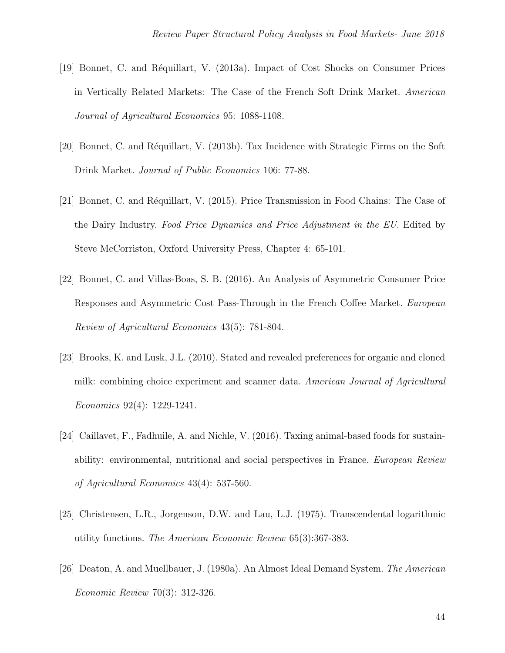- [19] Bonnet, C. and R´equillart, V. (2013a). Impact of Cost Shocks on Consumer Prices in Vertically Related Markets: The Case of the French Soft Drink Market. American Journal of Agricultural Economics 95: 1088-1108.
- [20] Bonnet, C. and Réquillart, V. (2013b). Tax Incidence with Strategic Firms on the Soft Drink Market. Journal of Public Economics 106: 77-88.
- [21] Bonnet, C. and Réquillart, V. (2015). Price Transmission in Food Chains: The Case of the Dairy Industry. Food Price Dynamics and Price Adjustment in the EU. Edited by Steve McCorriston, Oxford University Press, Chapter 4: 65-101.
- [22] Bonnet, C. and Villas-Boas, S. B. (2016). An Analysis of Asymmetric Consumer Price Responses and Asymmetric Cost Pass-Through in the French Coffee Market. European Review of Agricultural Economics 43(5): 781-804.
- [23] Brooks, K. and Lusk, J.L. (2010). Stated and revealed preferences for organic and cloned milk: combining choice experiment and scanner data. American Journal of Agricultural Economics 92(4): 1229-1241.
- [24] Caillavet, F., Fadhuile, A. and Nichle, V. (2016). Taxing animal-based foods for sustainability: environmental, nutritional and social perspectives in France. European Review of Agricultural Economics 43(4): 537-560.
- [25] Christensen, L.R., Jorgenson, D.W. and Lau, L.J. (1975). Transcendental logarithmic utility functions. The American Economic Review 65(3):367-383.
- [26] Deaton, A. and Muellbauer, J. (1980a). An Almost Ideal Demand System. The American Economic Review 70(3): 312-326.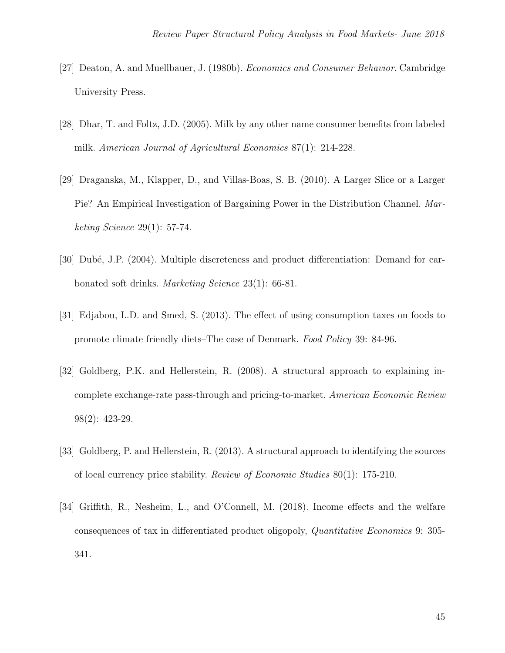- [27] Deaton, A. and Muellbauer, J. (1980b). Economics and Consumer Behavior. Cambridge University Press.
- [28] Dhar, T. and Foltz, J.D. (2005). Milk by any other name consumer benefits from labeled milk. American Journal of Agricultural Economics 87(1): 214-228.
- [29] Draganska, M., Klapper, D., and Villas-Boas, S. B. (2010). A Larger Slice or a Larger Pie? An Empirical Investigation of Bargaining Power in the Distribution Channel. Marketing Science 29(1): 57-74.
- [30] Dubé, J.P. (2004). Multiple discreteness and product differentiation: Demand for carbonated soft drinks. Marketing Science 23(1): 66-81.
- [31] Edjabou, L.D. and Smed, S. (2013). The effect of using consumption taxes on foods to promote climate friendly diets–The case of Denmark. Food Policy 39: 84-96.
- [32] Goldberg, P.K. and Hellerstein, R. (2008). A structural approach to explaining incomplete exchange-rate pass-through and pricing-to-market. American Economic Review 98(2): 423-29.
- [33] Goldberg, P. and Hellerstein, R. (2013). A structural approach to identifying the sources of local currency price stability. Review of Economic Studies 80(1): 175-210.
- [34] Griffith, R., Nesheim, L., and O'Connell, M. (2018). Income effects and the welfare consequences of tax in differentiated product oligopoly, Quantitative Economics 9: 305- 341.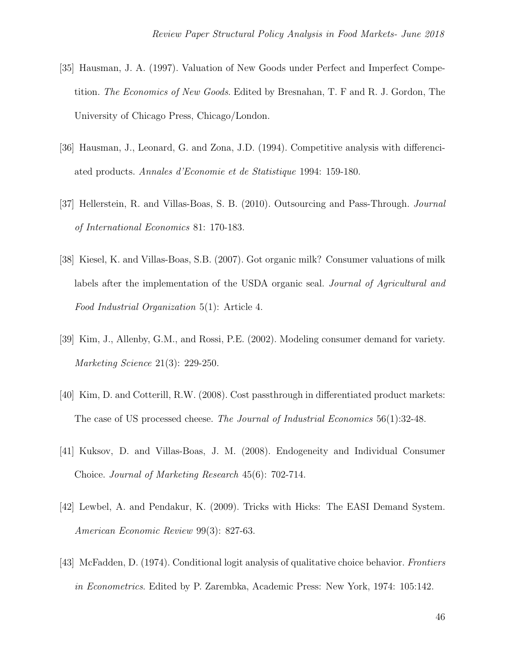- [35] Hausman, J. A. (1997). Valuation of New Goods under Perfect and Imperfect Competition. The Economics of New Goods. Edited by Bresnahan, T. F and R. J. Gordon, The University of Chicago Press, Chicago/London.
- [36] Hausman, J., Leonard, G. and Zona, J.D. (1994). Competitive analysis with differenciated products. Annales d'Economie et de Statistique 1994: 159-180.
- [37] Hellerstein, R. and Villas-Boas, S. B. (2010). Outsourcing and Pass-Through. Journal of International Economics 81: 170-183.
- [38] Kiesel, K. and Villas-Boas, S.B. (2007). Got organic milk? Consumer valuations of milk labels after the implementation of the USDA organic seal. *Journal of Agricultural and* Food Industrial Organization 5(1): Article 4.
- [39] Kim, J., Allenby, G.M., and Rossi, P.E. (2002). Modeling consumer demand for variety. Marketing Science 21(3): 229-250.
- [40] Kim, D. and Cotterill, R.W. (2008). Cost passthrough in differentiated product markets: The case of US processed cheese. The Journal of Industrial Economics 56(1):32-48.
- [41] Kuksov, D. and Villas-Boas, J. M. (2008). Endogeneity and Individual Consumer Choice. Journal of Marketing Research 45(6): 702-714.
- [42] Lewbel, A. and Pendakur, K. (2009). Tricks with Hicks: The EASI Demand System. American Economic Review 99(3): 827-63.
- [43] McFadden, D. (1974). Conditional logit analysis of qualitative choice behavior. Frontiers in Econometrics. Edited by P. Zarembka, Academic Press: New York, 1974: 105:142.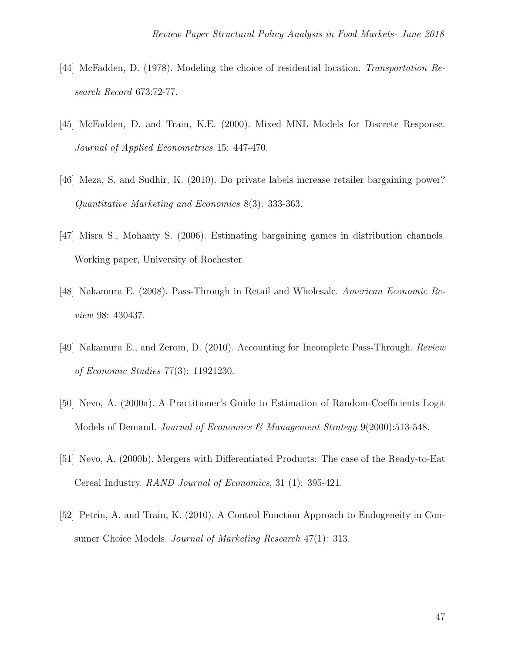- [44] McFadden, D. (1978). Modeling the choice of residential location. Transportation Research Record 673:72-77.
- [45] McFadden, D. and Train, K.E. (2000). Mixed MNL Models for Discrete Response. Journal of Applied Econometrics 15: 447-470.
- [46] Meza, S. and Sudhir, K. (2010). Do private labels increase retailer bargaining power? Quantitative Marketing and Economics 8(3): 333-363.
- [47] Misra S., Mohanty S. (2006). Estimating bargaining games in distribution channels. Working paper, University of Rochester.
- [48] Nakamura E. (2008). Pass-Through in Retail and Wholesale. American Economic Review 98: 430437.
- [49] Nakamura E., and Zerom, D. (2010). Accounting for Incomplete Pass-Through. Review of Economic Studies 77(3): 11921230.
- [50] Nevo, A. (2000a). A Practitioner's Guide to Estimation of Random-Coefficients Logit Models of Demand. Journal of Economics & Management Strategy 9(2000):513-548.
- [51] Nevo, A. (2000b). Mergers with Differentiated Products: The case of the Ready-to-Eat Cereal Industry. RAND Journal of Economics, 31 (1): 395-421.
- [52] Petrin, A. and Train, K. (2010). A Control Function Approach to Endogeneity in Consumer Choice Models. *Journal of Marketing Research* 47(1): 313.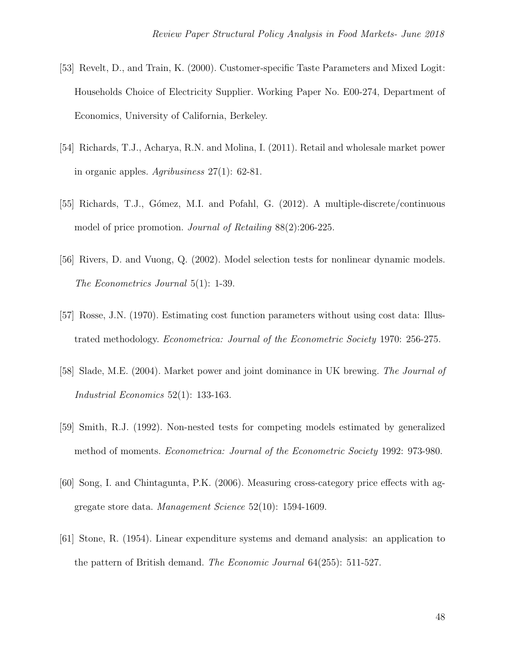- [53] Revelt, D., and Train, K. (2000). Customer-specific Taste Parameters and Mixed Logit: Households Choice of Electricity Supplier. Working Paper No. E00-274, Department of Economics, University of California, Berkeley.
- [54] Richards, T.J., Acharya, R.N. and Molina, I. (2011). Retail and wholesale market power in organic apples. Agribusiness 27(1): 62-81.
- [55] Richards, T.J., Gómez, M.I. and Pofahl, G. (2012). A multiple-discrete/continuous model of price promotion. *Journal of Retailing* 88(2):206-225.
- [56] Rivers, D. and Vuong, Q. (2002). Model selection tests for nonlinear dynamic models. The Econometrics Journal 5(1): 1-39.
- [57] Rosse, J.N. (1970). Estimating cost function parameters without using cost data: Illustrated methodology. Econometrica: Journal of the Econometric Society 1970: 256-275.
- [58] Slade, M.E. (2004). Market power and joint dominance in UK brewing. The Journal of Industrial Economics 52(1): 133-163.
- [59] Smith, R.J. (1992). Non-nested tests for competing models estimated by generalized method of moments. Econometrica: Journal of the Econometric Society 1992: 973-980.
- [60] Song, I. and Chintagunta, P.K. (2006). Measuring cross-category price effects with aggregate store data. Management Science 52(10): 1594-1609.
- [61] Stone, R. (1954). Linear expenditure systems and demand analysis: an application to the pattern of British demand. The Economic Journal 64(255): 511-527.